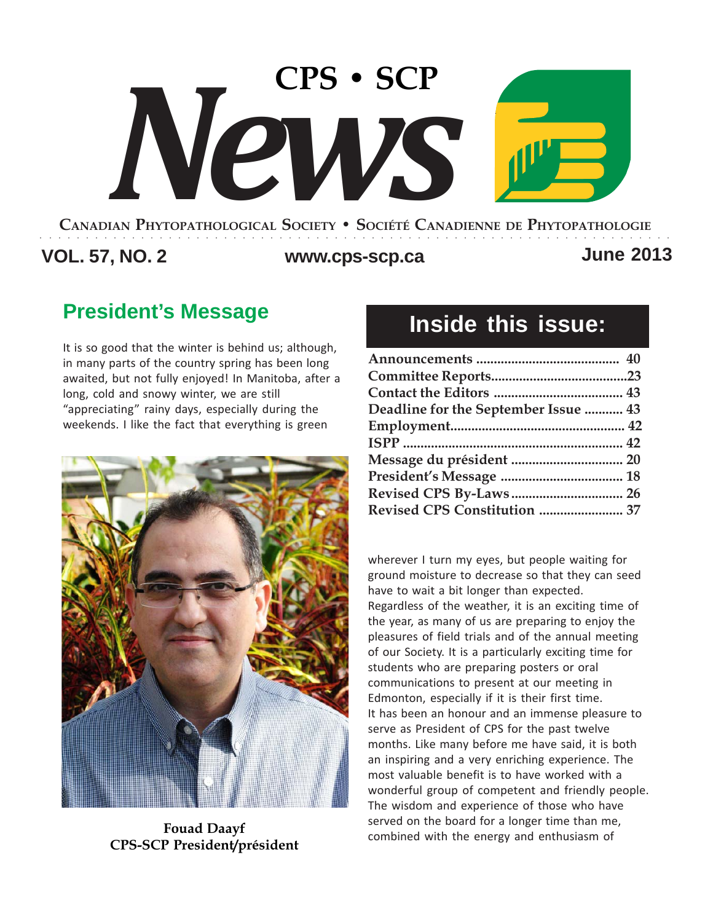# **CANADIAN PHYTOPATHOLOGICAL SOCIETY • SOCIÉTÉ CANADIENNE DE PHYTOPATHOLOGIE CPS • SCP** *News*

## **VOL. 57, NO. 2 www.cps-scp.ca June 2013**

○○○○○○○○○○○○○○○○○○○○○○○○○○○○○○○○○○○○○○○○○○○○○○○○○○○○○○○○○○○○○○○○○○○○○

## **President's Message**

It is so good that the winter is behind us; although, in many parts of the country spring has been long awaited, but not fully enjoyed! In Manitoba, after a long, cold and snowy winter, we are still "appreciating" rainy days, especially during the weekends. I like the fact that everything is green



**Fouad Daayf CPS-SCP President/président**

## **Inside this issue:**

| Deadline for the September Issue  43<br>Revised CPS Constitution  37 |  |
|----------------------------------------------------------------------|--|
|                                                                      |  |
|                                                                      |  |
|                                                                      |  |
|                                                                      |  |
|                                                                      |  |
|                                                                      |  |
|                                                                      |  |
|                                                                      |  |
|                                                                      |  |

wherever I turn my eyes, but people waiting for ground moisture to decrease so that they can seed have to wait a bit longer than expected. Regardless of the weather, it is an exciting time of the year, as many of us are preparing to enjoy the pleasures of field trials and of the annual meeting of our Society. It is a particularly exciting time for students who are preparing posters or oral communications to present at our meeting in Edmonton, especially if it is their first time. It has been an honour and an immense pleasure to serve as President of CPS for the past twelve months. Like many before me have said, it is both an inspiring and a very enriching experience. The most valuable benefit is to have worked with a wonderful group of competent and friendly people. The wisdom and experience of those who have served on the board for a longer time than me, combined with the energy and enthusiasm of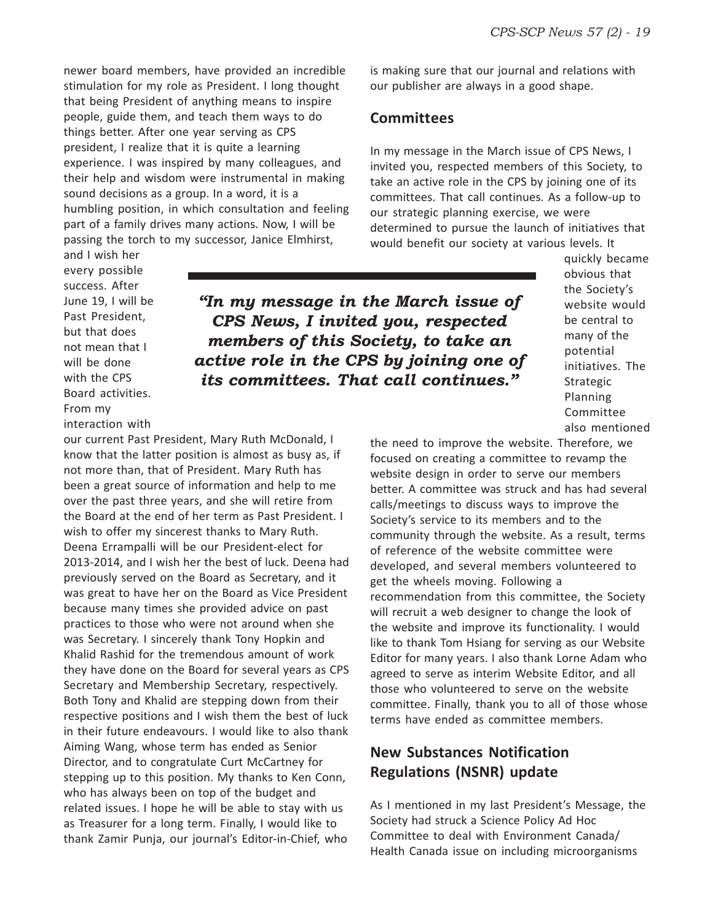newer board members, have provided an incredible stimulation for my role as President. I long thought that being President of anything means to inspire people, guide them, and teach them ways to do things better. After one year serving as CPS president, I realize that it is quite a learning experience. I was inspired by many colleagues, and their help and wisdom were instrumental in making sound decisions as a group. In a word, it is a humbling position, in which consultation and feeling part of a family drives many actions. Now, I will be passing the torch to my successor, Janice Elmhirst,

and I wish her every possible success. After June 19, I will be Past President, but that does not mean that I will be done with the CPS Board activities.

From my

is making sure that our journal and relations with our publisher are always in a good shape.

#### **Committees**

In my message in the March issue of CPS News, I invited you, respected members of this Society, to take an active role in the CPS by joining one of its committees. That call continues. As a follow-up to our strategic planning exercise, we were determined to pursue the launch of initiatives that would benefit our society at various levels. It

*"In my message in the March issue of CPS News, I invited you, respected members of this Society, to take an active role in the CPS by joining one of its committees. That call continues."*

interaction with our current Past President, Mary Ruth McDonald, I know that the latter position is almost as busy as, if not more than, that of President. Mary Ruth has been a great source of information and help to me over the past three years, and she will retire from the Board at the end of her term as Past President. I wish to offer my sincerest thanks to Mary Ruth. Deena Errampalli will be our President-elect for 2013-2014, and I wish her the best of luck. Deena had previously served on the Board as Secretary, and it was great to have her on the Board as Vice President because many times she provided advice on past practices to those who were not around when she was Secretary. I sincerely thank Tony Hopkin and Khalid Rashid for the tremendous amount of work they have done on the Board for several years as CPS Secretary and Membership Secretary, respectively. Both Tony and Khalid are stepping down from their respective positions and I wish them the best of luck in their future endeavours. I would like to also thank Aiming Wang, whose term has ended as Senior Director, and to congratulate Curt McCartney for stepping up to this position. My thanks to Ken Conn, who has always been on top of the budget and related issues. I hope he will be able to stay with us as Treasurer for a long term. Finally, I would like to thank Zamir Punja, our journal's Editor-in-Chief, who

quickly became obvious that the Society's website would be central to many of the potential initiatives. The Strategic Planning Committee also mentioned

the need to improve the website. Therefore, we focused on creating a committee to revamp the website design in order to serve our members better. A committee was struck and has had several calls/meetings to discuss ways to improve the Society's service to its members and to the community through the website. As a result, terms of reference of the website committee were developed, and several members volunteered to get the wheels moving. Following a recommendation from this committee, the Society will recruit a web designer to change the look of the website and improve its functionality. I would like to thank Tom Hsiang for serving as our Website Editor for many years. I also thank Lorne Adam who agreed to serve as interim Website Editor, and all those who volunteered to serve on the website committee. Finally, thank you to all of those whose terms have ended as committee members.

#### **New Substances Notification Regulations (NSNR) update**

As I mentioned in my last President's Message, the Society had struck a Science Policy Ad Hoc Committee to deal with Environment Canada/ Health Canada issue on including microorganisms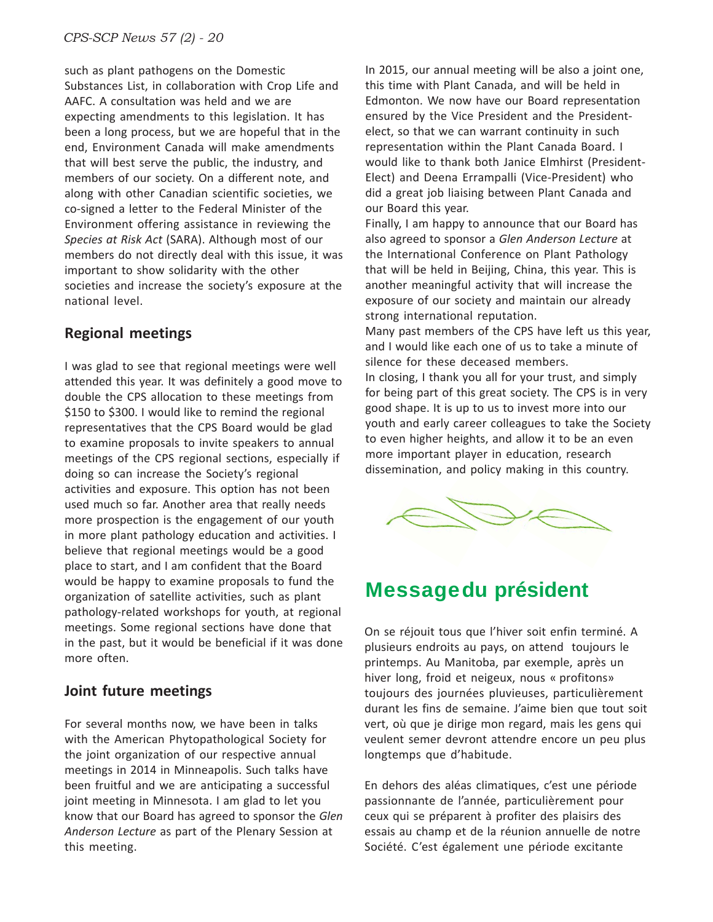such as plant pathogens on the Domestic Substances List, in collaboration with Crop Life and AAFC. A consultation was held and we are expecting amendments to this legislation. It has been a long process, but we are hopeful that in the end, Environment Canada will make amendments that will best serve the public, the industry, and members of our society. On a different note, and along with other Canadian scientific societies, we co-signed a letter to the Federal Minister of the Environment offering assistance in reviewing the *Species at Risk Act* (SARA). Although most of our members do not directly deal with this issue, it was important to show solidarity with the other societies and increase the society's exposure at the national level.

#### **Regional meetings**

I was glad to see that regional meetings were well attended this year. It was definitely a good move to double the CPS allocation to these meetings from \$150 to \$300. I would like to remind the regional representatives that the CPS Board would be glad to examine proposals to invite speakers to annual meetings of the CPS regional sections, especially if doing so can increase the Society's regional activities and exposure. This option has not been used much so far. Another area that really needs more prospection is the engagement of our youth in more plant pathology education and activities. I believe that regional meetings would be a good place to start, and I am confident that the Board would be happy to examine proposals to fund the organization of satellite activities, such as plant pathology-related workshops for youth, at regional meetings. Some regional sections have done that in the past, but it would be beneficial if it was done more often.

#### **Joint future meetings**

For several months now, we have been in talks with the American Phytopathological Society for the joint organization of our respective annual meetings in 2014 in Minneapolis. Such talks have been fruitful and we are anticipating a successful joint meeting in Minnesota. I am glad to let you know that our Board has agreed to sponsor the *Glen Anderson Lecture* as part of the Plenary Session at this meeting.

In 2015, our annual meeting will be also a joint one, this time with Plant Canada, and will be held in Edmonton. We now have our Board representation ensured by the Vice President and the Presidentelect, so that we can warrant continuity in such representation within the Plant Canada Board. I would like to thank both Janice Elmhirst (President-Elect) and Deena Errampalli (Vice-President) who did a great job liaising between Plant Canada and our Board this year.

Finally, I am happy to announce that our Board has also agreed to sponsor a *Glen Anderson Lecture* at the International Conference on Plant Pathology that will be held in Beijing, China, this year. This is another meaningful activity that will increase the exposure of our society and maintain our already strong international reputation.

Many past members of the CPS have left us this year, and I would like each one of us to take a minute of silence for these deceased members. In closing, I thank you all for your trust, and simply for being part of this great society. The CPS is in very good shape. It is up to us to invest more into our youth and early career colleagues to take the Society to even higher heights, and allow it to be an even more important player in education, research dissemination, and policy making in this country.



## **Messagedu président**

On se réjouit tous que l'hiver soit enfin terminé. A plusieurs endroits au pays, on attend toujours le printemps. Au Manitoba, par exemple, après un hiver long, froid et neigeux, nous « profitons» toujours des journées pluvieuses, particulièrement durant les fins de semaine. J'aime bien que tout soit vert, où que je dirige mon regard, mais les gens qui veulent semer devront attendre encore un peu plus longtemps que d'habitude.

En dehors des aléas climatiques, c'est une période passionnante de l'année, particulièrement pour ceux qui se préparent à profiter des plaisirs des essais au champ et de la réunion annuelle de notre Société. C'est également une période excitante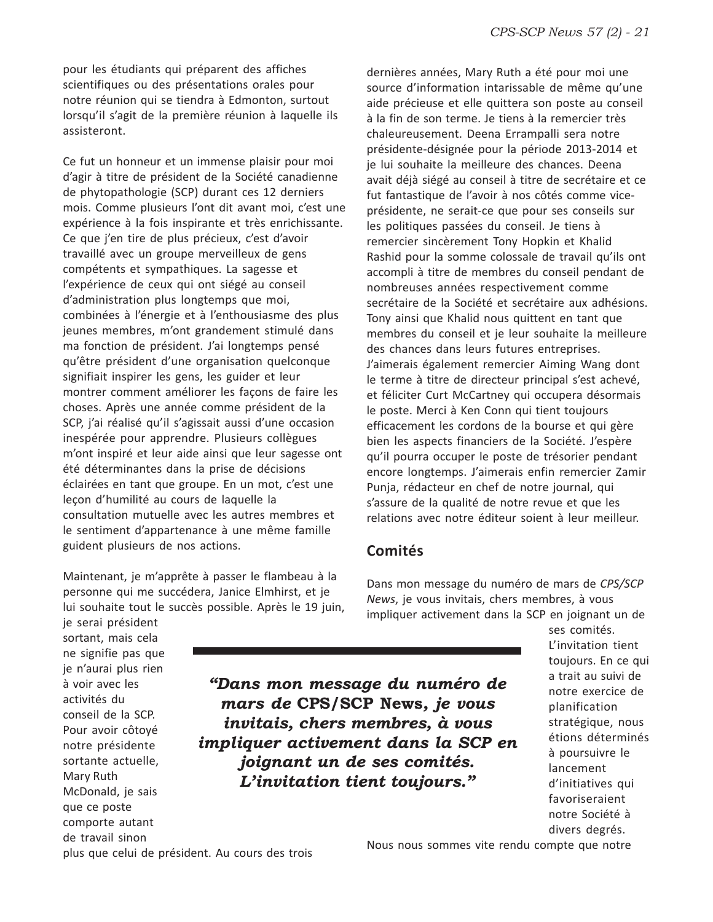pour les étudiants qui préparent des affiches scientifiques ou des présentations orales pour notre réunion qui se tiendra à Edmonton, surtout lorsqu'il s'agit de la première réunion à laquelle ils assisteront.

Ce fut un honneur et un immense plaisir pour moi d'agir à titre de président de la Société canadienne de phytopathologie (SCP) durant ces 12 derniers mois. Comme plusieurs l'ont dit avant moi, c'est une expérience à la fois inspirante et très enrichissante. Ce que j'en tire de plus précieux, c'est d'avoir travaillé avec un groupe merveilleux de gens compétents et sympathiques. La sagesse et l'expérience de ceux qui ont siégé au conseil d'administration plus longtemps que moi, combinées à l'énergie et à l'enthousiasme des plus jeunes membres, m'ont grandement stimulé dans ma fonction de président. J'ai longtemps pensé qu'être président d'une organisation quelconque signifiait inspirer les gens, les guider et leur montrer comment améliorer les façons de faire les choses. Après une année comme président de la SCP, j'ai réalisé qu'il s'agissait aussi d'une occasion inespérée pour apprendre. Plusieurs collègues m'ont inspiré et leur aide ainsi que leur sagesse ont été déterminantes dans la prise de décisions éclairées en tant que groupe. En un mot, c'est une leçon d'humilité au cours de laquelle la consultation mutuelle avec les autres membres et le sentiment d'appartenance à une même famille guident plusieurs de nos actions.

Maintenant, je m'apprête à passer le flambeau à la personne qui me succédera, Janice Elmhirst, et je lui souhaite tout le succès possible. Après le 19 juin, dernières années, Mary Ruth a été pour moi une source d'information intarissable de même qu'une aide précieuse et elle quittera son poste au conseil à la fin de son terme. Je tiens à la remercier très chaleureusement. Deena Errampalli sera notre présidente-désignée pour la période 2013-2014 et je lui souhaite la meilleure des chances. Deena avait déjà siégé au conseil à titre de secrétaire et ce fut fantastique de l'avoir à nos côtés comme viceprésidente, ne serait-ce que pour ses conseils sur les politiques passées du conseil. Je tiens à remercier sincèrement Tony Hopkin et Khalid Rashid pour la somme colossale de travail qu'ils ont accompli à titre de membres du conseil pendant de nombreuses années respectivement comme secrétaire de la Société et secrétaire aux adhésions. Tony ainsi que Khalid nous quittent en tant que membres du conseil et je leur souhaite la meilleure des chances dans leurs futures entreprises. J'aimerais également remercier Aiming Wang dont le terme à titre de directeur principal s'est achevé, et féliciter Curt McCartney qui occupera désormais le poste. Merci à Ken Conn qui tient toujours efficacement les cordons de la bourse et qui gère bien les aspects financiers de la Société. J'espère qu'il pourra occuper le poste de trésorier pendant encore longtemps. J'aimerais enfin remercier Zamir Punja, rédacteur en chef de notre journal, qui s'assure de la qualité de notre revue et que les relations avec notre éditeur soient à leur meilleur.

#### **Comités**

Dans mon message du numéro de mars de *CPS/SCP News*, je vous invitais, chers membres, à vous impliquer activement dans la SCP en joignant un de

sortant, mais cela ne signifie pas que je n'aurai plus rien à voir avec les activités du conseil de la SCP. Pour avoir côtoyé notre présidente sortante actuelle, Mary Ruth McDonald, je sais que ce poste comporte autant de travail sinon

je serai président

*"Dans mon message du numéro de mars de* **CPS/SCP News***, je vous invitais, chers membres, à vous impliquer activement dans la SCP en joignant un de ses comités. L'invitation tient toujours."*

ses comités. L'invitation tient toujours. En ce qui a trait au suivi de notre exercice de planification stratégique, nous étions déterminés à poursuivre le lancement d'initiatives qui favoriseraient notre Société à divers degrés.

plus que celui de président. Au cours des trois

Nous nous sommes vite rendu compte que notre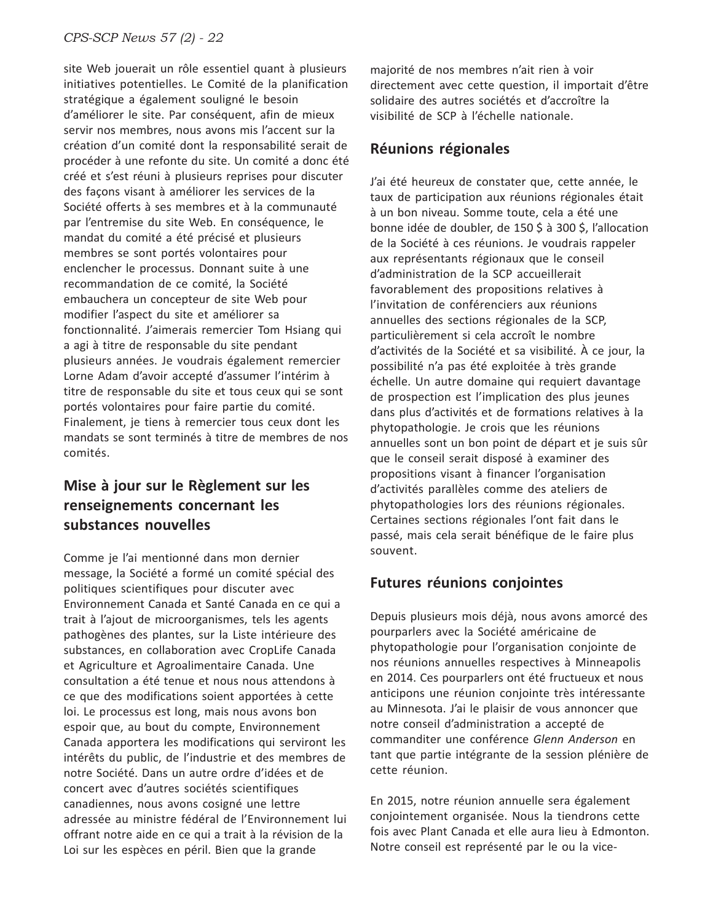site Web jouerait un rôle essentiel quant à plusieurs initiatives potentielles. Le Comité de la planification stratégique a également souligné le besoin d'améliorer le site. Par conséquent, afin de mieux servir nos membres, nous avons mis l'accent sur la création d'un comité dont la responsabilité serait de procéder à une refonte du site. Un comité a donc été créé et s'est réuni à plusieurs reprises pour discuter des façons visant à améliorer les services de la Société offerts à ses membres et à la communauté par l'entremise du site Web. En conséquence, le mandat du comité a été précisé et plusieurs membres se sont portés volontaires pour enclencher le processus. Donnant suite à une recommandation de ce comité, la Société embauchera un concepteur de site Web pour modifier l'aspect du site et améliorer sa fonctionnalité. J'aimerais remercier Tom Hsiang qui a agi à titre de responsable du site pendant plusieurs années. Je voudrais également remercier Lorne Adam d'avoir accepté d'assumer l'intérim à titre de responsable du site et tous ceux qui se sont portés volontaires pour faire partie du comité. Finalement, je tiens à remercier tous ceux dont les mandats se sont terminés à titre de membres de nos comités.

#### **Mise à jour sur le Règlement sur les renseignements concernant les substances nouvelles**

Comme je l'ai mentionné dans mon dernier message, la Société a formé un comité spécial des politiques scientifiques pour discuter avec Environnement Canada et Santé Canada en ce qui a trait à l'ajout de microorganismes, tels les agents pathogènes des plantes, sur la Liste intérieure des substances, en collaboration avec CropLife Canada et Agriculture et Agroalimentaire Canada. Une consultation a été tenue et nous nous attendons à ce que des modifications soient apportées à cette loi. Le processus est long, mais nous avons bon espoir que, au bout du compte, Environnement Canada apportera les modifications qui serviront les intérêts du public, de l'industrie et des membres de notre Société. Dans un autre ordre d'idées et de concert avec d'autres sociétés scientifiques canadiennes, nous avons cosigné une lettre adressée au ministre fédéral de l'Environnement lui offrant notre aide en ce qui a trait à la révision de la Loi sur les espèces en péril. Bien que la grande

majorité de nos membres n'ait rien à voir directement avec cette question, il importait d'être solidaire des autres sociétés et d'accroître la visibilité de SCP à l'échelle nationale.

#### **Réunions régionales**

J'ai été heureux de constater que, cette année, le taux de participation aux réunions régionales était à un bon niveau. Somme toute, cela a été une bonne idée de doubler, de 150 \$ à 300 \$, l'allocation de la Société à ces réunions. Je voudrais rappeler aux représentants régionaux que le conseil d'administration de la SCP accueillerait favorablement des propositions relatives à l'invitation de conférenciers aux réunions annuelles des sections régionales de la SCP, particulièrement si cela accroît le nombre d'activités de la Société et sa visibilité. À ce jour, la possibilité n'a pas été exploitée à très grande échelle. Un autre domaine qui requiert davantage de prospection est l'implication des plus jeunes dans plus d'activités et de formations relatives à la phytopathologie. Je crois que les réunions annuelles sont un bon point de départ et je suis sûr que le conseil serait disposé à examiner des propositions visant à financer l'organisation d'activités parallèles comme des ateliers de phytopathologies lors des réunions régionales. Certaines sections régionales l'ont fait dans le passé, mais cela serait bénéfique de le faire plus souvent.

#### **Futures réunions conjointes**

Depuis plusieurs mois déjà, nous avons amorcé des pourparlers avec la Société américaine de phytopathologie pour l'organisation conjointe de nos réunions annuelles respectives à Minneapolis en 2014. Ces pourparlers ont été fructueux et nous anticipons une réunion conjointe très intéressante au Minnesota. J'ai le plaisir de vous annoncer que notre conseil d'administration a accepté de commanditer une conférence *Glenn Anderson* en tant que partie intégrante de la session plénière de cette réunion.

En 2015, notre réunion annuelle sera également conjointement organisée. Nous la tiendrons cette fois avec Plant Canada et elle aura lieu à Edmonton. Notre conseil est représenté par le ou la vice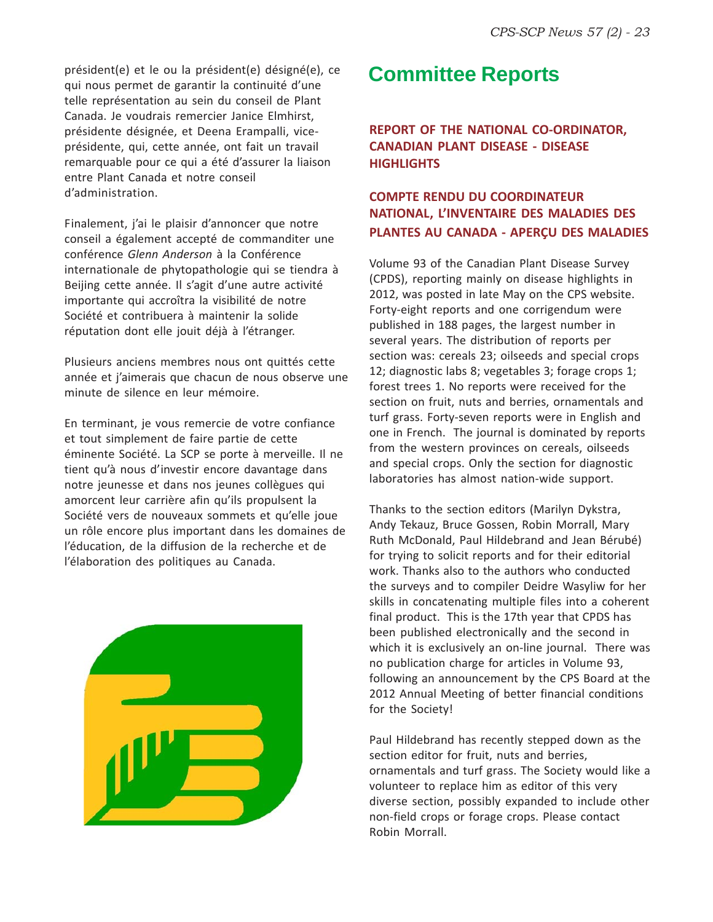président(e) et le ou la président(e) désigné(e), ce qui nous permet de garantir la continuité d'une telle représentation au sein du conseil de Plant Canada. Je voudrais remercier Janice Elmhirst, présidente désignée, et Deena Erampalli, viceprésidente, qui, cette année, ont fait un travail remarquable pour ce qui a été d'assurer la liaison entre Plant Canada et notre conseil d'administration.

Finalement, j'ai le plaisir d'annoncer que notre conseil a également accepté de commanditer une conférence *Glenn Anderson* à la Conférence internationale de phytopathologie qui se tiendra à Beijing cette année. Il s'agit d'une autre activité importante qui accroîtra la visibilité de notre Société et contribuera à maintenir la solide réputation dont elle jouit déjà à l'étranger.

Plusieurs anciens membres nous ont quittés cette année et j'aimerais que chacun de nous observe une minute de silence en leur mémoire.

En terminant, je vous remercie de votre confiance et tout simplement de faire partie de cette éminente Société. La SCP se porte à merveille. Il ne tient qu'à nous d'investir encore davantage dans notre jeunesse et dans nos jeunes collègues qui amorcent leur carrière afin qu'ils propulsent la Société vers de nouveaux sommets et qu'elle joue un rôle encore plus important dans les domaines de l'éducation, de la diffusion de la recherche et de l'élaboration des politiques au Canada.



## **Committee Reports**

**REPORT OF THE NATIONAL CO-ORDINATOR, CANADIAN PLANT DISEASE - DISEASE HIGHLIGHTS**

#### **COMPTE RENDU DU COORDINATEUR NATIONAL, L'INVENTAIRE DES MALADIES DES PLANTES AU CANADA - APERÇU DES MALADIES**

Volume 93 of the Canadian Plant Disease Survey (CPDS), reporting mainly on disease highlights in 2012, was posted in late May on the CPS website. Forty-eight reports and one corrigendum were published in 188 pages, the largest number in several years. The distribution of reports per section was: cereals 23; oilseeds and special crops 12; diagnostic labs 8; vegetables 3; forage crops 1; forest trees 1. No reports were received for the section on fruit, nuts and berries, ornamentals and turf grass. Forty-seven reports were in English and one in French. The journal is dominated by reports from the western provinces on cereals, oilseeds and special crops. Only the section for diagnostic laboratories has almost nation-wide support.

Thanks to the section editors (Marilyn Dykstra, Andy Tekauz, Bruce Gossen, Robin Morrall, Mary Ruth McDonald, Paul Hildebrand and Jean Bérubé) for trying to solicit reports and for their editorial work. Thanks also to the authors who conducted the surveys and to compiler Deidre Wasyliw for her skills in concatenating multiple files into a coherent final product. This is the 17th year that CPDS has been published electronically and the second in which it is exclusively an on-line journal. There was no publication charge for articles in Volume 93, following an announcement by the CPS Board at the 2012 Annual Meeting of better financial conditions for the Society!

Paul Hildebrand has recently stepped down as the section editor for fruit, nuts and berries, ornamentals and turf grass. The Society would like a volunteer to replace him as editor of this very diverse section, possibly expanded to include other non-field crops or forage crops. Please contact Robin Morrall.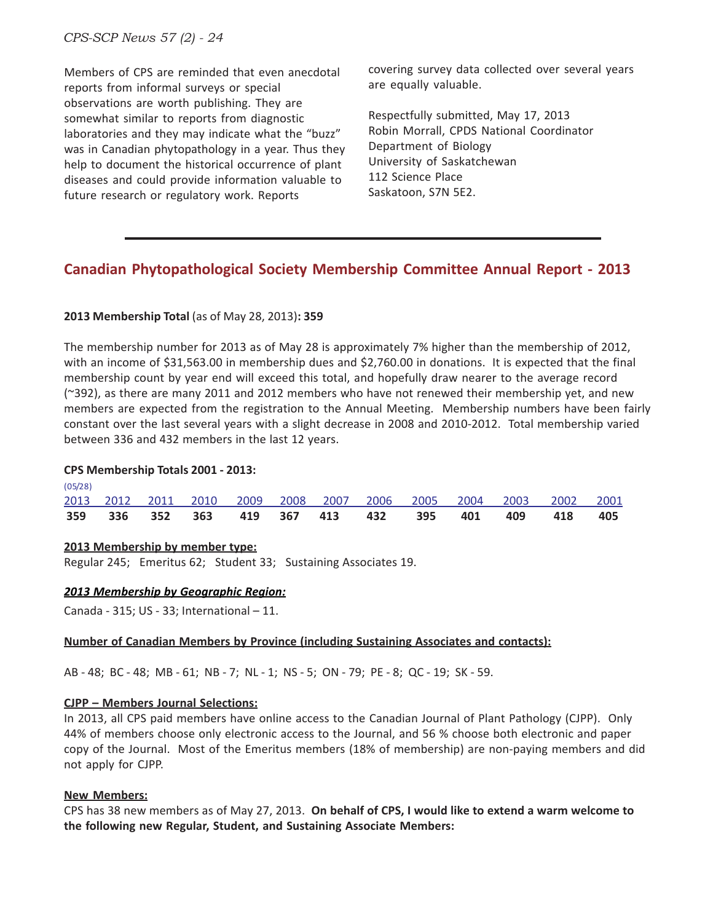*CPS-SCP News 57 (2) - 24*

Members of CPS are reminded that even anecdotal reports from informal surveys or special observations are worth publishing. They are somewhat similar to reports from diagnostic laboratories and they may indicate what the "buzz" was in Canadian phytopathology in a year. Thus they help to document the historical occurrence of plant diseases and could provide information valuable to future research or regulatory work. Reports

covering survey data collected over several years are equally valuable.

Respectfully submitted, May 17, 2013 Robin Morrall, CPDS National Coordinator Department of Biology University of Saskatchewan 112 Science Place Saskatoon, S7N 5E2.

#### **Canadian Phytopathological Society Membership Committee Annual Report - 2013**

#### **2013 Membership Total** (as of May 28, 2013)**: 359**

The membership number for 2013 as of May 28 is approximately 7% higher than the membership of 2012, with an income of \$31,563.00 in membership dues and \$2,760.00 in donations. It is expected that the final membership count by year end will exceed this total, and hopefully draw nearer to the average record (~392), as there are many 2011 and 2012 members who have not renewed their membership yet, and new members are expected from the registration to the Annual Meeting. Membership numbers have been fairly constant over the last several years with a slight decrease in 2008 and 2010-2012. Total membership varied between 336 and 432 members in the last 12 years.

#### **CPS Membership Totals 2001 - 2013:**

 $(0.5/2)$ 

|            |  |  |  |  |  | 359 336 352 363 419 367 413 432 395 401 409 418 405              |  |
|------------|--|--|--|--|--|------------------------------------------------------------------|--|
|            |  |  |  |  |  | 2013 2012 2011 2010 2009 2008 2007 2006 2005 2004 2003 2002 2001 |  |
| $\sqrt{9}$ |  |  |  |  |  |                                                                  |  |

#### **2013 Membership by member type:**

Regular 245; Emeritus 62; Student 33; Sustaining Associates 19.

#### *2013 Membership by Geographic Region:*

Canada - 315; US - 33; International – 11.

#### **Number of Canadian Members by Province (including Sustaining Associates and contacts):**

AB - 48; BC - 48; MB - 61; NB - 7; NL - 1; NS - 5; ON - 79; PE - 8; QC - 19; SK - 59.

#### **CJPP – Members Journal Selections:**

In 2013, all CPS paid members have online access to the Canadian Journal of Plant Pathology (CJPP). Only 44% of members choose only electronic access to the Journal, and 56 % choose both electronic and paper copy of the Journal. Most of the Emeritus members (18% of membership) are non-paying members and did not apply for CJPP.

#### **New Members:**

CPS has 38 new members as of May 27, 2013. **On behalf of CPS, I would like to extend a warm welcome to the following new Regular, Student, and Sustaining Associate Members:**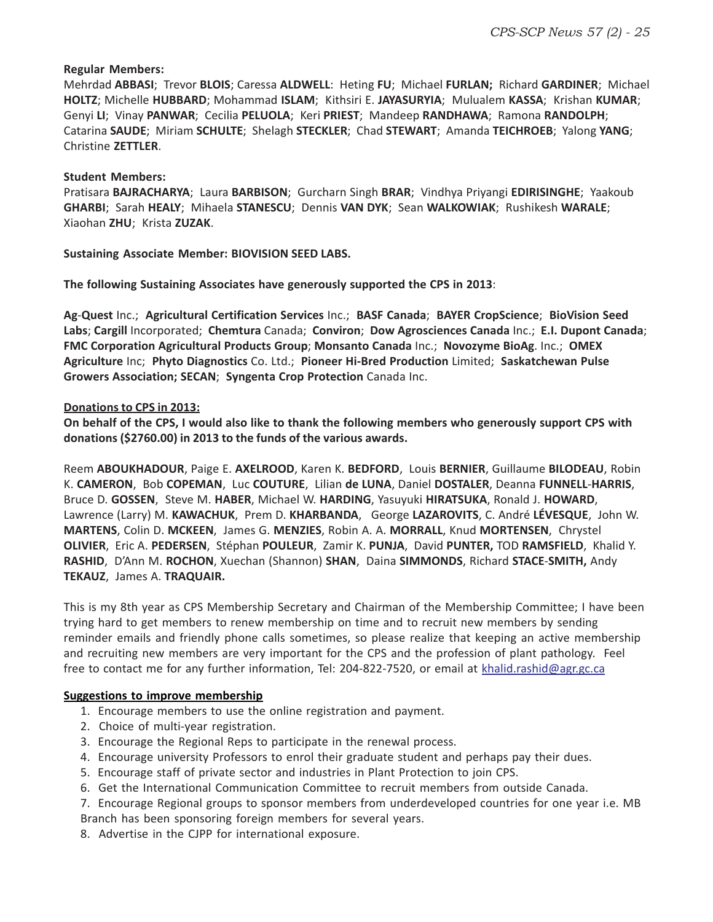#### **Regular Members:**

Mehrdad **ABBASI**; Trevor **BLOIS**; Caressa **ALDWELL**: Heting **FU**; Michael **FURLAN;** Richard **GARDINER**; Michael **HOLTZ**; Michelle **HUBBARD**; Mohammad **ISLAM**; Kithsiri E. **JAYASURYIA**; Mulualem **KASSA**; Krishan **KUMAR**; Genyi **LI**; Vinay **PANWAR**; Cecilia **PELUOLA**; Keri **PRIEST**; Mandeep **RANDHAWA**; Ramona **RANDOLPH**; Catarina **SAUDE**; Miriam **SCHULTE**; Shelagh **STECKLER**; Chad **STEWART**; Amanda **TEICHROEB**; Yalong **YANG**; Christine **ZETTLER**.

#### **Student Members:**

Pratisara **BAJRACHARYA**; Laura **BARBISON**; Gurcharn Singh **BRAR**; Vindhya Priyangi **EDIRISINGHE**; Yaakoub **GHARBI**; Sarah **HEALY**; Mihaela **STANESCU**; Dennis **VAN DYK**; Sean **WALKOWIAK**; Rushikesh **WARALE**; Xiaohan **ZHU**; Krista **ZUZAK**.

**Sustaining Associate Member: BIOVISION SEED LABS.**

**The following Sustaining Associates have generously supported the CPS in 2013**:

**Ag**-**Quest** Inc.; **Agricultural Certification Services** Inc.; **BASF Canada**; **BAYER CropScience**; **BioVision Seed Labs**; **Cargill** Incorporated; **Chemtura** Canada; **Conviron**; **Dow Agrosciences Canada** Inc.; **E.I. Dupont Canada**; **FMC Corporation Agricultural Products Group**; **Monsanto Canada** Inc.; **Novozyme BioAg**. Inc.; **OMEX Agriculture** Inc; **Phyto Diagnostics** Co. Ltd.; **Pioneer Hi-Bred Production** Limited; **Saskatchewan Pulse Growers Association; SECAN**; **Syngenta Crop Protection** Canada Inc.

#### **Donations to CPS in 2013:**

**On behalf of the CPS, I would also like to thank the following members who generously support CPS with donations (\$2760.00) in 2013 to the funds of the various awards.**

Reem **ABOUKHADOUR**, Paige E. **AXELROOD**, Karen K. **BEDFORD**, Louis **BERNIER**, Guillaume **BILODEAU**, Robin K. **CAMERON**, Bob **COPEMAN**, Luc **COUTURE**, Lilian **de LUNA**, Daniel **DOSTALER**, Deanna **FUNNELL**-**HARRIS**, Bruce D. **GOSSEN**, Steve M. **HABER**, Michael W. **HARDING**, Yasuyuki **HIRATSUKA**, Ronald J. **HOWARD**, Lawrence (Larry) M. **KAWACHUK**, Prem D. **KHARBANDA**, George **LAZAROVITS**, C. André **LÉVESQUE**, John W. **MARTENS**, Colin D. **MCKEEN**, James G. **MENZIES**, Robin A. A. **MORRALL**, Knud **MORTENSEN**, Chrystel **OLIVIER**, Eric A. **PEDERSEN**, Stéphan **POULEUR**, Zamir K. **PUNJA**, David **PUNTER,** TOD **RAMSFIELD**, Khalid Y. **RASHID**, D'Ann M. **ROCHON**, Xuechan (Shannon) **SHAN**, Daina **SIMMONDS**, Richard **STACE**-**SMITH,** Andy **TEKAUZ**, James A. **TRAQUAIR.**

This is my 8th year as CPS Membership Secretary and Chairman of the Membership Committee; I have been trying hard to get members to renew membership on time and to recruit new members by sending reminder emails and friendly phone calls sometimes, so please realize that keeping an active membership and recruiting new members are very important for the CPS and the profession of plant pathology. Feel free to contact me for any further information, Tel: 204-822-7520, or email at khalid.rashid@agr.gc.ca

#### **Suggestions to improve membership**

- 1. Encourage members to use the online registration and payment.
- 2. Choice of multi-year registration.
- 3. Encourage the Regional Reps to participate in the renewal process.
- 4. Encourage university Professors to enrol their graduate student and perhaps pay their dues.
- 5. Encourage staff of private sector and industries in Plant Protection to join CPS.
- 6. Get the International Communication Committee to recruit members from outside Canada.

7. Encourage Regional groups to sponsor members from underdeveloped countries for one year i.e. MB Branch has been sponsoring foreign members for several years.

8. Advertise in the CJPP for international exposure.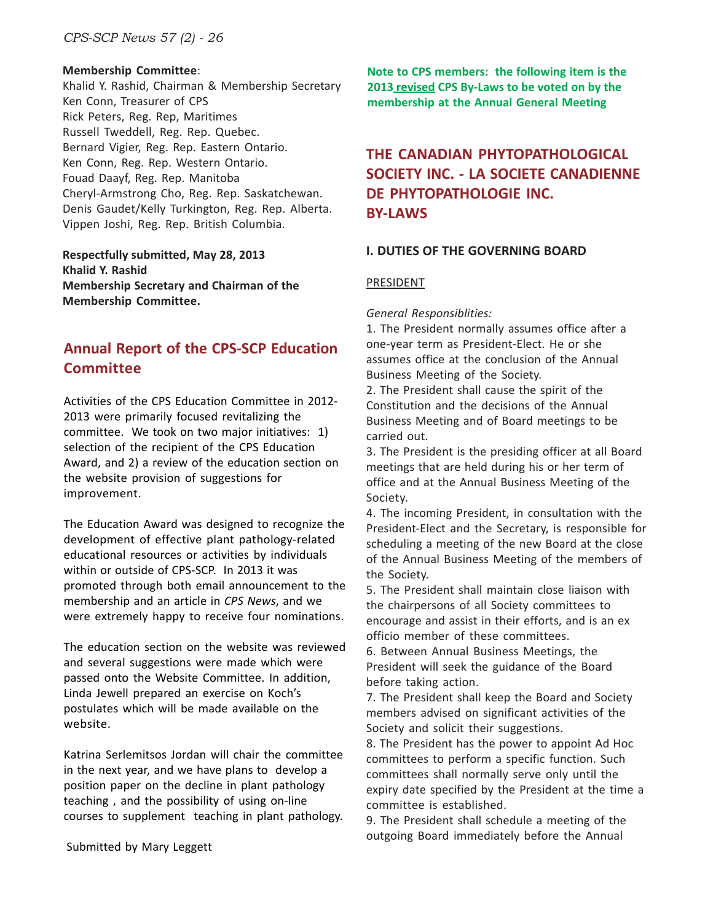#### **Membership Committee**:

Khalid Y. Rashid, Chairman & Membership Secretary Ken Conn, Treasurer of CPS Rick Peters, Reg. Rep, Maritimes Russell Tweddell, Reg. Rep. Quebec. Bernard Vigier, Reg. Rep. Eastern Ontario. Ken Conn, Reg. Rep. Western Ontario. Fouad Daayf, Reg. Rep. Manitoba Cheryl-Armstrong Cho, Reg. Rep. Saskatchewan. Denis Gaudet/Kelly Turkington, Reg. Rep. Alberta. Vippen Joshi, Reg. Rep. British Columbia.

**Respectfully submitted, May 28, 2013 Khalid Y. Rashid Membership Secretary and Chairman of the Membership Committee.**

#### **Annual Report of the CPS-SCP Education Committee**

Activities of the CPS Education Committee in 2012- 2013 were primarily focused revitalizing the committee. We took on two major initiatives: 1) selection of the recipient of the CPS Education Award, and 2) a review of the education section on the website provision of suggestions for improvement.

The Education Award was designed to recognize the development of effective plant pathology-related educational resources or activities by individuals within or outside of CPS-SCP. In 2013 it was promoted through both email announcement to the membership and an article in *CPS News*, and we were extremely happy to receive four nominations.

The education section on the website was reviewed and several suggestions were made which were passed onto the Website Committee. In addition, Linda Jewell prepared an exercise on Koch's postulates which will be made available on the website.

Katrina Serlemitsos Jordan will chair the committee in the next year, and we have plans to develop a position paper on the decline in plant pathology teaching , and the possibility of using on-line courses to supplement teaching in plant pathology. **Note to CPS members: the following item is the 2013 revised CPS By-Laws to be voted on by the membership at the Annual General Meeting**

#### **THE CANADIAN PHYTOPATHOLOGICAL SOCIETY INC. - LA SOCIETE CANADIENNE DE PHYTOPATHOLOGIE INC. BY-LAWS**

#### **I. DUTIES OF THE GOVERNING BOARD**

#### PRESIDENT

*General Responsiblities:*

1. The President normally assumes office after a one-year term as President-Elect. He or she assumes office at the conclusion of the Annual Business Meeting of the Society.

2. The President shall cause the spirit of the Constitution and the decisions of the Annual Business Meeting and of Board meetings to be carried out.

3. The President is the presiding officer at all Board meetings that are held during his or her term of office and at the Annual Business Meeting of the Society.

4. The incoming President, in consultation with the President-Elect and the Secretary, is responsible for scheduling a meeting of the new Board at the close of the Annual Business Meeting of the members of the Society.

5. The President shall maintain close liaison with the chairpersons of all Society committees to encourage and assist in their efforts, and is an ex officio member of these committees.

6. Between Annual Business Meetings, the President will seek the guidance of the Board before taking action.

7. The President shall keep the Board and Society members advised on significant activities of the Society and solicit their suggestions.

8. The President has the power to appoint Ad Hoc committees to perform a specific function. Such committees shall normally serve only until the expiry date specified by the President at the time a committee is established.

9. The President shall schedule a meeting of the outgoing Board immediately before the Annual

Submitted by Mary Leggett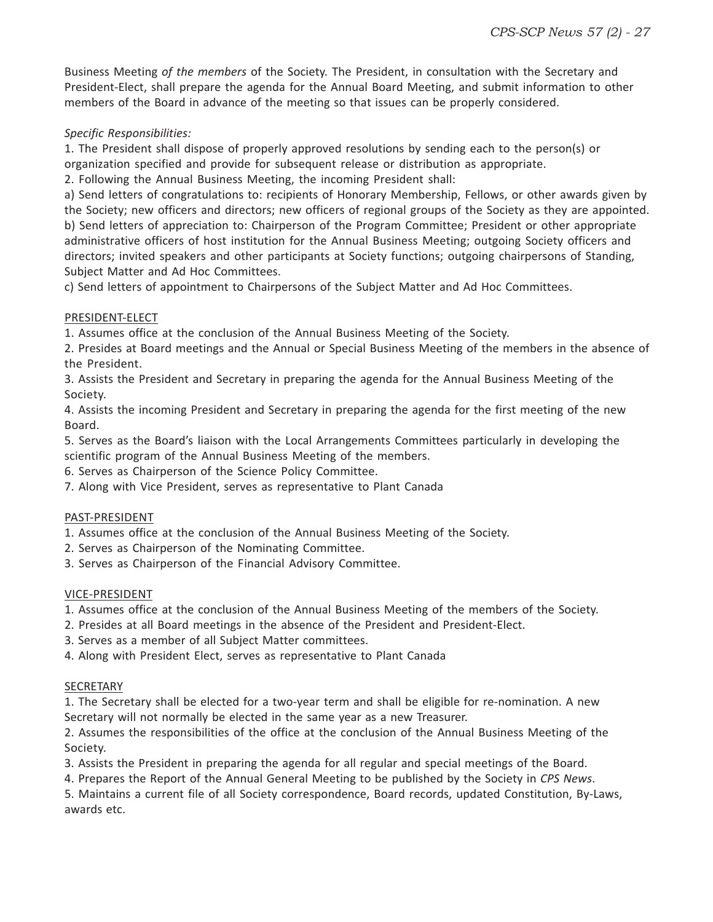Business Meeting *of the members* of the Society. The President, in consultation with the Secretary and President-Elect, shall prepare the agenda for the Annual Board Meeting, and submit information to other members of the Board in advance of the meeting so that issues can be properly considered.

#### *Specific Responsibilities:*

1. The President shall dispose of properly approved resolutions by sending each to the person(s) or organization specified and provide for subsequent release or distribution as appropriate.

2. Following the Annual Business Meeting, the incoming President shall:

a) Send letters of congratulations to: recipients of Honorary Membership, Fellows, or other awards given by the Society; new officers and directors; new officers of regional groups of the Society as they are appointed. b) Send letters of appreciation to: Chairperson of the Program Committee; President or other appropriate administrative officers of host institution for the Annual Business Meeting; outgoing Society officers and directors; invited speakers and other participants at Society functions; outgoing chairpersons of Standing, Subject Matter and Ad Hoc Committees.

c) Send letters of appointment to Chairpersons of the Subject Matter and Ad Hoc Committees.

#### PRESIDENT-ELECT

1. Assumes office at the conclusion of the Annual Business Meeting of the Society.

2. Presides at Board meetings and the Annual or Special Business Meeting of the members in the absence of the President.

3. Assists the President and Secretary in preparing the agenda for the Annual Business Meeting of the Society.

4. Assists the incoming President and Secretary in preparing the agenda for the first meeting of the new Board.

5. Serves as the Board's liaison with the Local Arrangements Committees particularly in developing the scientific program of the Annual Business Meeting of the members.

6. Serves as Chairperson of the Science Policy Committee.

7. Along with Vice President, serves as representative to Plant Canada

#### PAST-PRESIDENT

1. Assumes office at the conclusion of the Annual Business Meeting of the Society.

2. Serves as Chairperson of the Nominating Committee.

3. Serves as Chairperson of the Financial Advisory Committee.

#### VICE-PRESIDENT

1. Assumes office at the conclusion of the Annual Business Meeting of the members of the Society.

- 2. Presides at all Board meetings in the absence of the President and President-Elect.
- 3. Serves as a member of all Subject Matter committees.

4. Along with President Elect, serves as representative to Plant Canada

#### SECRETARY

1. The Secretary shall be elected for a two-year term and shall be eligible for re-nomination. A new Secretary will not normally be elected in the same year as a new Treasurer.

2. Assumes the responsibilities of the office at the conclusion of the Annual Business Meeting of the Society.

3. Assists the President in preparing the agenda for all regular and special meetings of the Board.

4. Prepares the Report of the Annual General Meeting to be published by the Society in *CPS News*.

5. Maintains a current file of all Society correspondence, Board records, updated Constitution, By-Laws, awards etc.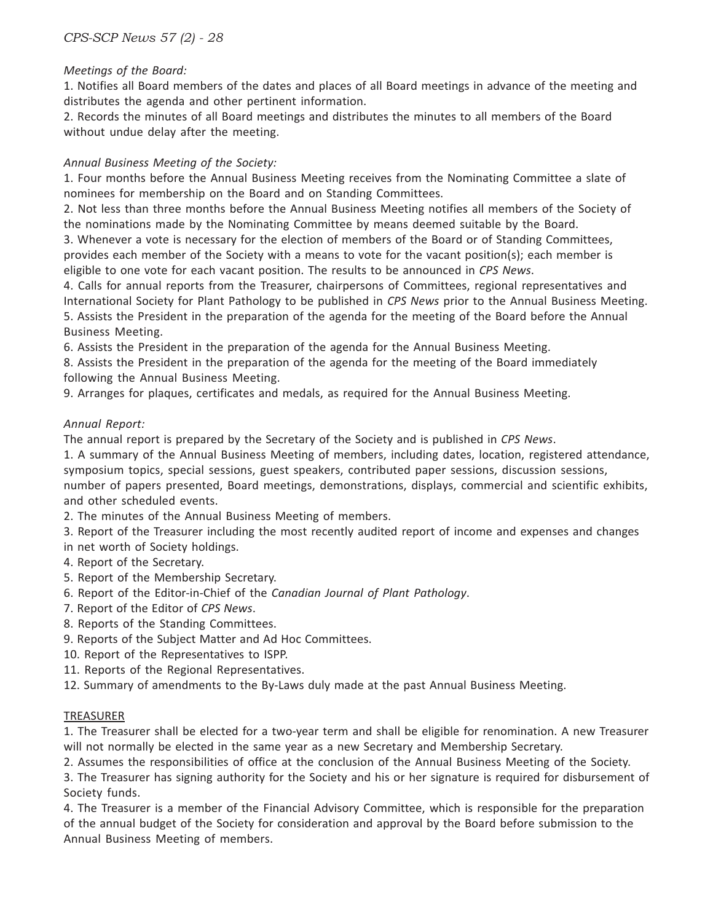#### *Meetings of the Board:*

1. Notifies all Board members of the dates and places of all Board meetings in advance of the meeting and distributes the agenda and other pertinent information.

2. Records the minutes of all Board meetings and distributes the minutes to all members of the Board without undue delay after the meeting.

#### *Annual Business Meeting of the Society:*

1. Four months before the Annual Business Meeting receives from the Nominating Committee a slate of nominees for membership on the Board and on Standing Committees.

2. Not less than three months before the Annual Business Meeting notifies all members of the Society of the nominations made by the Nominating Committee by means deemed suitable by the Board.

3. Whenever a vote is necessary for the election of members of the Board or of Standing Committees, provides each member of the Society with a means to vote for the vacant position(s); each member is eligible to one vote for each vacant position. The results to be announced in *CPS News*.

4. Calls for annual reports from the Treasurer, chairpersons of Committees, regional representatives and International Society for Plant Pathology to be published in *CPS News* prior to the Annual Business Meeting. 5. Assists the President in the preparation of the agenda for the meeting of the Board before the Annual

Business Meeting.

6. Assists the President in the preparation of the agenda for the Annual Business Meeting.

8. Assists the President in the preparation of the agenda for the meeting of the Board immediately following the Annual Business Meeting.

9. Arranges for plaques, certificates and medals, as required for the Annual Business Meeting.

#### *Annual Report:*

The annual report is prepared by the Secretary of the Society and is published in *CPS News*.

1. A summary of the Annual Business Meeting of members, including dates, location, registered attendance, symposium topics, special sessions, guest speakers, contributed paper sessions, discussion sessions, number of papers presented, Board meetings, demonstrations, displays, commercial and scientific exhibits, and other scheduled events.

2. The minutes of the Annual Business Meeting of members.

3. Report of the Treasurer including the most recently audited report of income and expenses and changes in net worth of Society holdings.

- 4. Report of the Secretary.
- 5. Report of the Membership Secretary.
- 6. Report of the Editor-in-Chief of the *Canadian Journal of Plant Pathology*.
- 7. Report of the Editor of *CPS News*.
- 8. Reports of the Standing Committees.
- 9. Reports of the Subject Matter and Ad Hoc Committees.
- 10. Report of the Representatives to ISPP.
- 11. Reports of the Regional Representatives.
- 12. Summary of amendments to the By-Laws duly made at the past Annual Business Meeting.

#### TREASURER

1. The Treasurer shall be elected for a two-year term and shall be eligible for renomination. A new Treasurer will not normally be elected in the same year as a new Secretary and Membership Secretary.

2. Assumes the responsibilities of office at the conclusion of the Annual Business Meeting of the Society.

3. The Treasurer has signing authority for the Society and his or her signature is required for disbursement of Society funds.

4. The Treasurer is a member of the Financial Advisory Committee, which is responsible for the preparation of the annual budget of the Society for consideration and approval by the Board before submission to the Annual Business Meeting of members.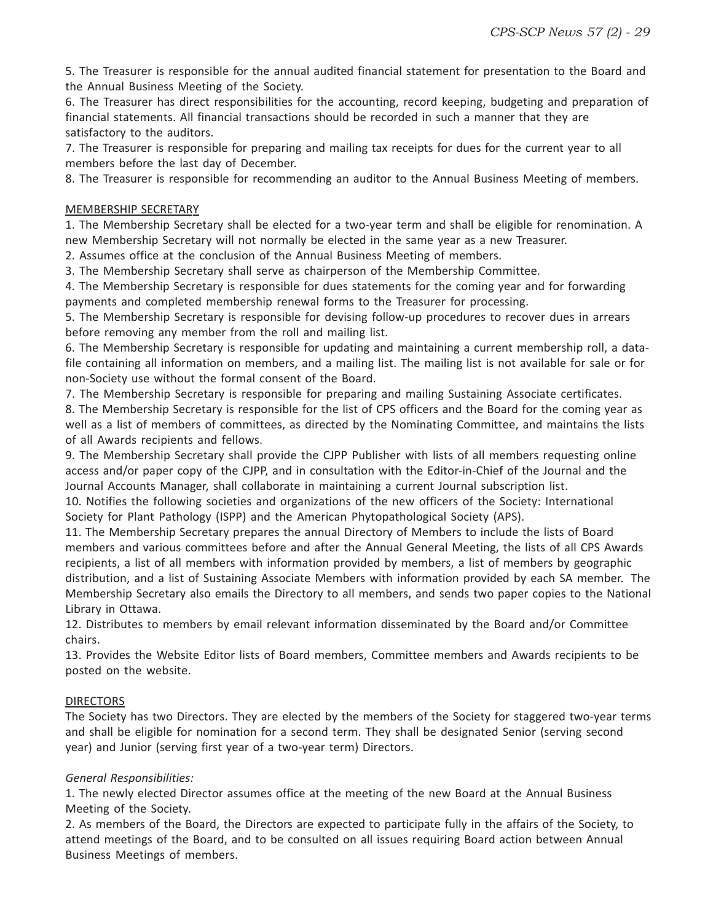5. The Treasurer is responsible for the annual audited financial statement for presentation to the Board and the Annual Business Meeting of the Society.

6. The Treasurer has direct responsibilities for the accounting, record keeping, budgeting and preparation of financial statements. All financial transactions should be recorded in such a manner that they are satisfactory to the auditors.

7. The Treasurer is responsible for preparing and mailing tax receipts for dues for the current year to all members before the last day of December.

8. The Treasurer is responsible for recommending an auditor to the Annual Business Meeting of members.

#### MEMBERSHIP SECRETARY

1. The Membership Secretary shall be elected for a two-year term and shall be eligible for renomination. A new Membership Secretary will not normally be elected in the same year as a new Treasurer.

2. Assumes office at the conclusion of the Annual Business Meeting of members.

3. The Membership Secretary shall serve as chairperson of the Membership Committee.

4. The Membership Secretary is responsible for dues statements for the coming year and for forwarding payments and completed membership renewal forms to the Treasurer for processing.

5. The Membership Secretary is responsible for devising follow-up procedures to recover dues in arrears before removing any member from the roll and mailing list.

6. The Membership Secretary is responsible for updating and maintaining a current membership roll, a datafile containing all information on members, and a mailing list. The mailing list is not available for sale or for non-Society use without the formal consent of the Board.

7. The Membership Secretary is responsible for preparing and mailing Sustaining Associate certificates.

8. The Membership Secretary is responsible for the list of CPS officers and the Board for the coming year as well as a list of members of committees, as directed by the Nominating Committee, and maintains the lists of all Awards recipients and fellows.

9. The Membership Secretary shall provide the CJPP Publisher with lists of all members requesting online access and/or paper copy of the CJPP, and in consultation with the Editor-in-Chief of the Journal and the Journal Accounts Manager, shall collaborate in maintaining a current Journal subscription list.

10. Notifies the following societies and organizations of the new officers of the Society: International Society for Plant Pathology (ISPP) and the American Phytopathological Society (APS).

11. The Membership Secretary prepares the annual Directory of Members to include the lists of Board members and various committees before and after the Annual General Meeting, the lists of all CPS Awards recipients, a list of all members with information provided by members, a list of members by geographic distribution, and a list of Sustaining Associate Members with information provided by each SA member. The Membership Secretary also emails the Directory to all members, and sends two paper copies to the National Library in Ottawa.

12. Distributes to members by email relevant information disseminated by the Board and/or Committee chairs.

13. Provides the Website Editor lists of Board members, Committee members and Awards recipients to be posted on the website.

#### DIRECTORS

The Society has two Directors. They are elected by the members of the Society for staggered two-year terms and shall be eligible for nomination for a second term. They shall be designated Senior (serving second year) and Junior (serving first year of a two-year term) Directors.

#### *General Responsibilities:*

1. The newly elected Director assumes office at the meeting of the new Board at the Annual Business Meeting of the Society.

2. As members of the Board, the Directors are expected to participate fully in the affairs of the Society, to attend meetings of the Board, and to be consulted on all issues requiring Board action between Annual Business Meetings of members.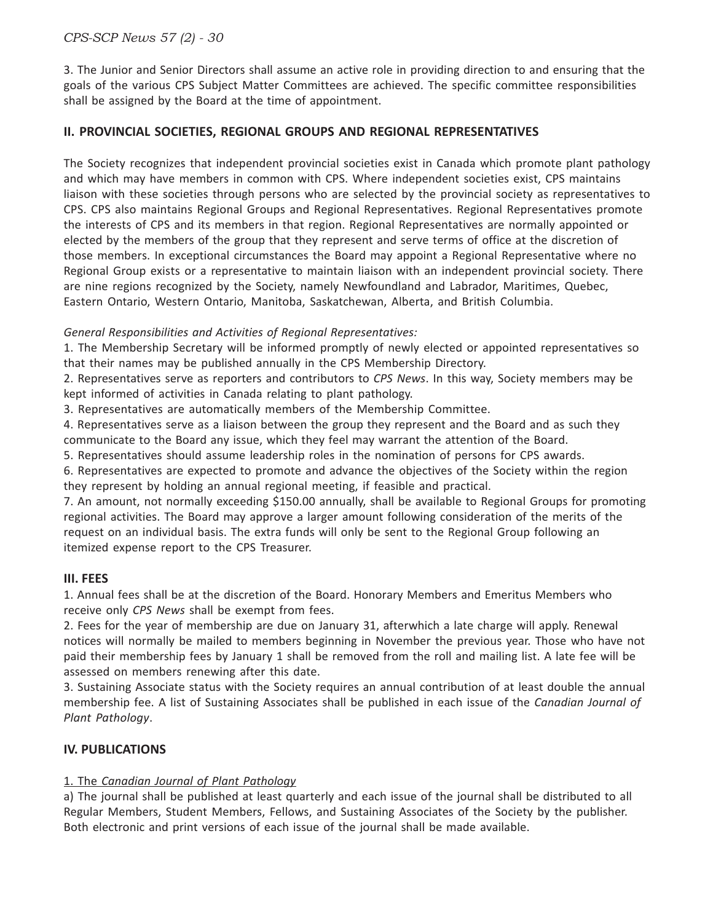#### *CPS-SCP News 57 (2) - 30*

3. The Junior and Senior Directors shall assume an active role in providing direction to and ensuring that the goals of the various CPS Subject Matter Committees are achieved. The specific committee responsibilities shall be assigned by the Board at the time of appointment.

#### **II. PROVINCIAL SOCIETIES, REGIONAL GROUPS AND REGIONAL REPRESENTATIVES**

The Society recognizes that independent provincial societies exist in Canada which promote plant pathology and which may have members in common with CPS. Where independent societies exist, CPS maintains liaison with these societies through persons who are selected by the provincial society as representatives to CPS. CPS also maintains Regional Groups and Regional Representatives. Regional Representatives promote the interests of CPS and its members in that region. Regional Representatives are normally appointed or elected by the members of the group that they represent and serve terms of office at the discretion of those members. In exceptional circumstances the Board may appoint a Regional Representative where no Regional Group exists or a representative to maintain liaison with an independent provincial society. There are nine regions recognized by the Society, namely Newfoundland and Labrador, Maritimes, Quebec, Eastern Ontario, Western Ontario, Manitoba, Saskatchewan, Alberta, and British Columbia.

#### *General Responsibilities and Activities of Regional Representatives:*

1. The Membership Secretary will be informed promptly of newly elected or appointed representatives so that their names may be published annually in the CPS Membership Directory.

2. Representatives serve as reporters and contributors to *CPS News*. In this way, Society members may be kept informed of activities in Canada relating to plant pathology.

3. Representatives are automatically members of the Membership Committee.

4. Representatives serve as a liaison between the group they represent and the Board and as such they communicate to the Board any issue, which they feel may warrant the attention of the Board.

5. Representatives should assume leadership roles in the nomination of persons for CPS awards.

6. Representatives are expected to promote and advance the objectives of the Society within the region they represent by holding an annual regional meeting, if feasible and practical.

7. An amount, not normally exceeding \$150.00 annually, shall be available to Regional Groups for promoting regional activities. The Board may approve a larger amount following consideration of the merits of the request on an individual basis. The extra funds will only be sent to the Regional Group following an itemized expense report to the CPS Treasurer.

#### **III. FEES**

1. Annual fees shall be at the discretion of the Board. Honorary Members and Emeritus Members who receive only *CPS News* shall be exempt from fees.

2. Fees for the year of membership are due on January 31, afterwhich a late charge will apply. Renewal notices will normally be mailed to members beginning in November the previous year. Those who have not paid their membership fees by January 1 shall be removed from the roll and mailing list. A late fee will be assessed on members renewing after this date.

3. Sustaining Associate status with the Society requires an annual contribution of at least double the annual membership fee. A list of Sustaining Associates shall be published in each issue of the *Canadian Journal of Plant Pathology*.

#### **IV. PUBLICATIONS**

#### 1. The *Canadian Journal of Plant Pathology*

a) The journal shall be published at least quarterly and each issue of the journal shall be distributed to all Regular Members, Student Members, Fellows, and Sustaining Associates of the Society by the publisher. Both electronic and print versions of each issue of the journal shall be made available.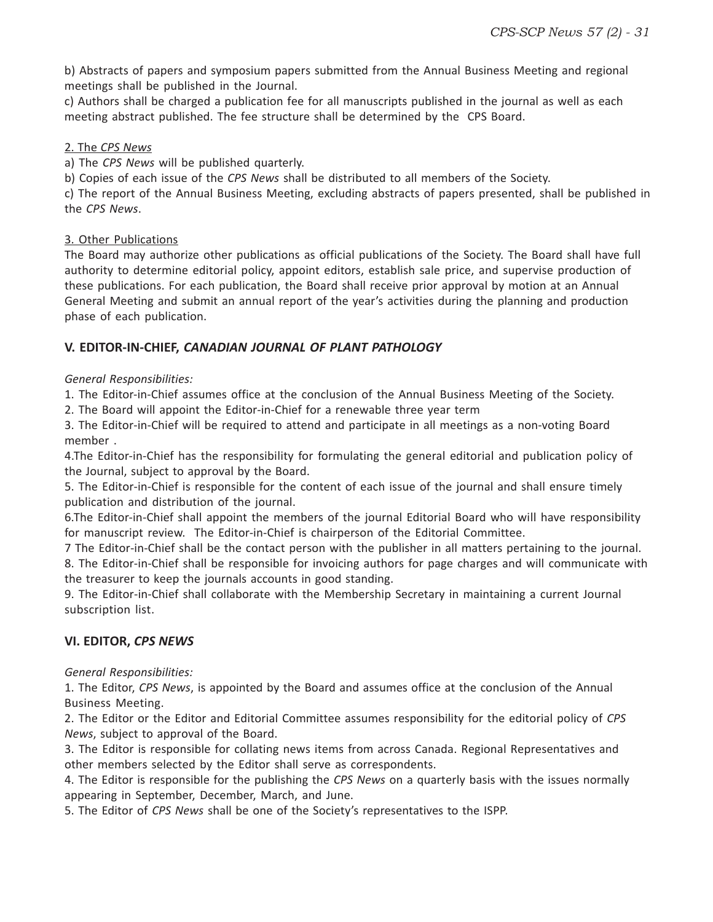b) Abstracts of papers and symposium papers submitted from the Annual Business Meeting and regional meetings shall be published in the Journal.

c) Authors shall be charged a publication fee for all manuscripts published in the journal as well as each meeting abstract published. The fee structure shall be determined by the CPS Board.

#### 2. The *CPS News*

a) The *CPS News* will be published quarterly.

b) Copies of each issue of the *CPS News* shall be distributed to all members of the Society.

c) The report of the Annual Business Meeting, excluding abstracts of papers presented, shall be published in the *CPS News*.

#### 3. Other Publications

The Board may authorize other publications as official publications of the Society. The Board shall have full authority to determine editorial policy, appoint editors, establish sale price, and supervise production of these publications. For each publication, the Board shall receive prior approval by motion at an Annual General Meeting and submit an annual report of the year's activities during the planning and production phase of each publication.

#### **V. EDITOR-IN-CHIEF,** *CANADIAN JOURNAL OF PLANT PATHOLOGY*

#### *General Responsibilities:*

1. The Editor-in-Chief assumes office at the conclusion of the Annual Business Meeting of the Society.

2. The Board will appoint the Editor-in-Chief for a renewable three year term

3. The Editor-in-Chief will be required to attend and participate in all meetings as a non-voting Board member .

4.The Editor-in-Chief has the responsibility for formulating the general editorial and publication policy of the Journal, subject to approval by the Board.

5. The Editor-in-Chief is responsible for the content of each issue of the journal and shall ensure timely publication and distribution of the journal.

6.The Editor-in-Chief shall appoint the members of the journal Editorial Board who will have responsibility for manuscript review. The Editor-in-Chief is chairperson of the Editorial Committee.

7 The Editor-in-Chief shall be the contact person with the publisher in all matters pertaining to the journal. 8. The Editor-in-Chief shall be responsible for invoicing authors for page charges and will communicate with

the treasurer to keep the journals accounts in good standing.

9. The Editor-in-Chief shall collaborate with the Membership Secretary in maintaining a current Journal subscription list.

#### **VI. EDITOR,** *CPS NEWS*

*General Responsibilities:*

1. The Editor, *CPS News*, is appointed by the Board and assumes office at the conclusion of the Annual Business Meeting.

2. The Editor or the Editor and Editorial Committee assumes responsibility for the editorial policy of *CPS News*, subject to approval of the Board.

3. The Editor is responsible for collating news items from across Canada. Regional Representatives and other members selected by the Editor shall serve as correspondents.

4. The Editor is responsible for the publishing the *CPS News* on a quarterly basis with the issues normally appearing in September, December, March, and June.

5. The Editor of *CPS News* shall be one of the Society's representatives to the ISPP.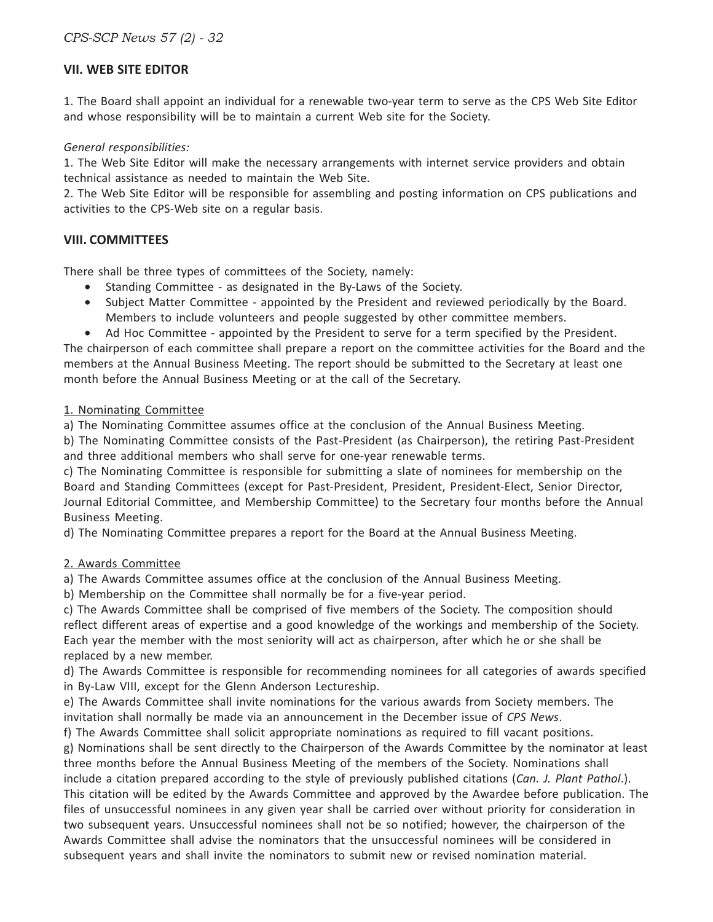#### **VII. WEB SITE EDITOR**

1. The Board shall appoint an individual for a renewable two-year term to serve as the CPS Web Site Editor and whose responsibility will be to maintain a current Web site for the Society.

#### *General responsibilities:*

1. The Web Site Editor will make the necessary arrangements with internet service providers and obtain technical assistance as needed to maintain the Web Site.

2. The Web Site Editor will be responsible for assembling and posting information on CPS publications and activities to the CPS-Web site on a regular basis.

#### **VIII. COMMITTEES**

There shall be three types of committees of the Society, namely:

- Standing Committee as designated in the By-Laws of the Society.
- Subject Matter Committee appointed by the President and reviewed periodically by the Board. Members to include volunteers and people suggested by other committee members.
- Ad Hoc Committee appointed by the President to serve for a term specified by the President.

The chairperson of each committee shall prepare a report on the committee activities for the Board and the members at the Annual Business Meeting. The report should be submitted to the Secretary at least one month before the Annual Business Meeting or at the call of the Secretary.

#### 1. Nominating Committee

a) The Nominating Committee assumes office at the conclusion of the Annual Business Meeting.

b) The Nominating Committee consists of the Past-President (as Chairperson), the retiring Past-President and three additional members who shall serve for one-year renewable terms.

c) The Nominating Committee is responsible for submitting a slate of nominees for membership on the Board and Standing Committees (except for Past-President, President, President-Elect, Senior Director, Journal Editorial Committee, and Membership Committee) to the Secretary four months before the Annual Business Meeting.

d) The Nominating Committee prepares a report for the Board at the Annual Business Meeting.

#### 2. Awards Committee

a) The Awards Committee assumes office at the conclusion of the Annual Business Meeting.

b) Membership on the Committee shall normally be for a five-year period.

c) The Awards Committee shall be comprised of five members of the Society. The composition should reflect different areas of expertise and a good knowledge of the workings and membership of the Society. Each year the member with the most seniority will act as chairperson, after which he or she shall be replaced by a new member.

d) The Awards Committee is responsible for recommending nominees for all categories of awards specified in By-Law VIII, except for the Glenn Anderson Lectureship.

e) The Awards Committee shall invite nominations for the various awards from Society members. The invitation shall normally be made via an announcement in the December issue of *CPS News*.

f) The Awards Committee shall solicit appropriate nominations as required to fill vacant positions.

g) Nominations shall be sent directly to the Chairperson of the Awards Committee by the nominator at least three months before the Annual Business Meeting of the members of the Society. Nominations shall include a citation prepared according to the style of previously published citations (*Can. J. Plant Pathol*.). This citation will be edited by the Awards Committee and approved by the Awardee before publication. The files of unsuccessful nominees in any given year shall be carried over without priority for consideration in two subsequent years. Unsuccessful nominees shall not be so notified; however, the chairperson of the Awards Committee shall advise the nominators that the unsuccessful nominees will be considered in subsequent years and shall invite the nominators to submit new or revised nomination material.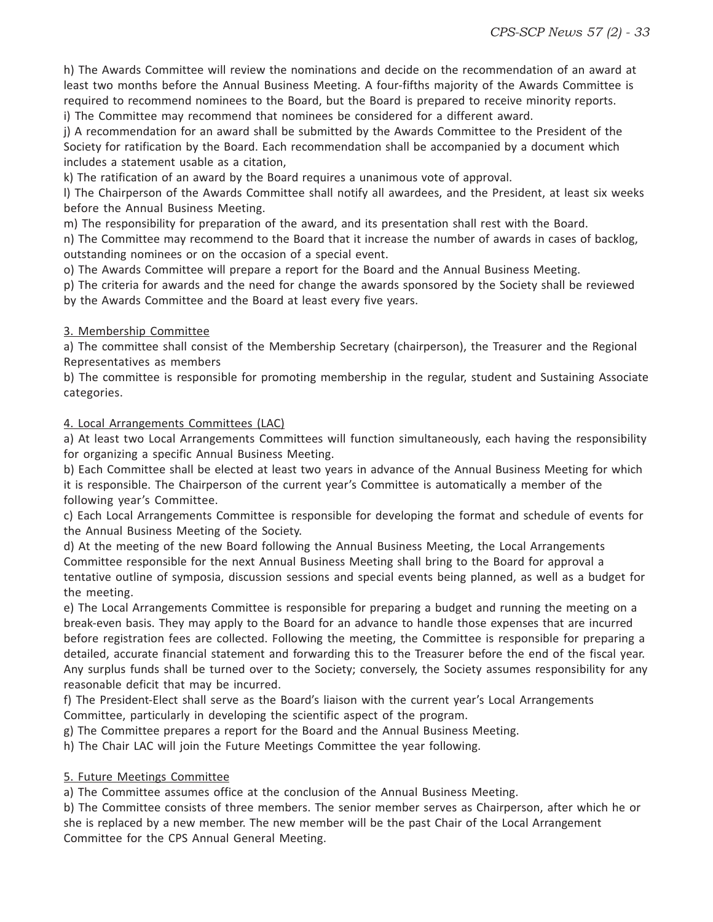h) The Awards Committee will review the nominations and decide on the recommendation of an award at least two months before the Annual Business Meeting. A four-fifths majority of the Awards Committee is required to recommend nominees to the Board, but the Board is prepared to receive minority reports. i) The Committee may recommend that nominees be considered for a different award.

j) A recommendation for an award shall be submitted by the Awards Committee to the President of the Society for ratification by the Board. Each recommendation shall be accompanied by a document which includes a statement usable as a citation,

k) The ratification of an award by the Board requires a unanimous vote of approval.

l) The Chairperson of the Awards Committee shall notify all awardees, and the President, at least six weeks before the Annual Business Meeting.

m) The responsibility for preparation of the award, and its presentation shall rest with the Board.

n) The Committee may recommend to the Board that it increase the number of awards in cases of backlog, outstanding nominees or on the occasion of a special event.

o) The Awards Committee will prepare a report for the Board and the Annual Business Meeting.

p) The criteria for awards and the need for change the awards sponsored by the Society shall be reviewed by the Awards Committee and the Board at least every five years.

#### 3. Membership Committee

a) The committee shall consist of the Membership Secretary (chairperson), the Treasurer and the Regional Representatives as members

b) The committee is responsible for promoting membership in the regular, student and Sustaining Associate categories.

4. Local Arrangements Committees (LAC)

a) At least two Local Arrangements Committees will function simultaneously, each having the responsibility for organizing a specific Annual Business Meeting.

b) Each Committee shall be elected at least two years in advance of the Annual Business Meeting for which it is responsible. The Chairperson of the current year's Committee is automatically a member of the following year's Committee.

c) Each Local Arrangements Committee is responsible for developing the format and schedule of events for the Annual Business Meeting of the Society.

d) At the meeting of the new Board following the Annual Business Meeting, the Local Arrangements Committee responsible for the next Annual Business Meeting shall bring to the Board for approval a tentative outline of symposia, discussion sessions and special events being planned, as well as a budget for the meeting.

e) The Local Arrangements Committee is responsible for preparing a budget and running the meeting on a break-even basis. They may apply to the Board for an advance to handle those expenses that are incurred before registration fees are collected. Following the meeting, the Committee is responsible for preparing a detailed, accurate financial statement and forwarding this to the Treasurer before the end of the fiscal year. Any surplus funds shall be turned over to the Society; conversely, the Society assumes responsibility for any reasonable deficit that may be incurred.

f) The President-Elect shall serve as the Board's liaison with the current year's Local Arrangements Committee, particularly in developing the scientific aspect of the program.

g) The Committee prepares a report for the Board and the Annual Business Meeting.

h) The Chair LAC will join the Future Meetings Committee the year following.

#### 5. Future Meetings Committee

a) The Committee assumes office at the conclusion of the Annual Business Meeting.

b) The Committee consists of three members. The senior member serves as Chairperson, after which he or she is replaced by a new member. The new member will be the past Chair of the Local Arrangement Committee for the CPS Annual General Meeting.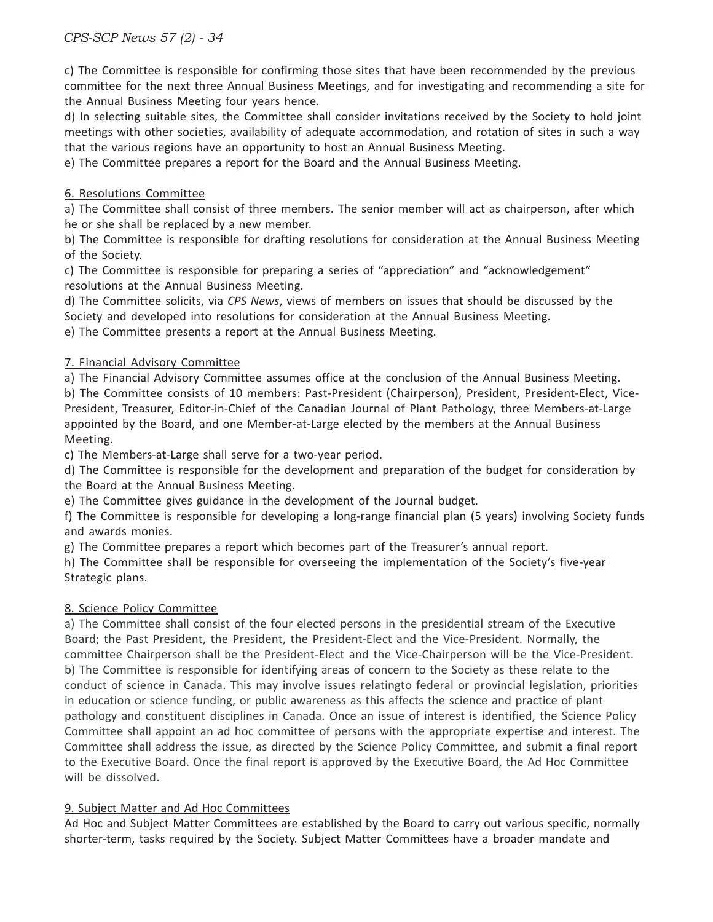c) The Committee is responsible for confirming those sites that have been recommended by the previous committee for the next three Annual Business Meetings, and for investigating and recommending a site for the Annual Business Meeting four years hence.

d) In selecting suitable sites, the Committee shall consider invitations received by the Society to hold joint meetings with other societies, availability of adequate accommodation, and rotation of sites in such a way that the various regions have an opportunity to host an Annual Business Meeting.

e) The Committee prepares a report for the Board and the Annual Business Meeting.

#### 6. Resolutions Committee

a) The Committee shall consist of three members. The senior member will act as chairperson, after which he or she shall be replaced by a new member.

b) The Committee is responsible for drafting resolutions for consideration at the Annual Business Meeting of the Society.

c) The Committee is responsible for preparing a series of "appreciation" and "acknowledgement" resolutions at the Annual Business Meeting.

d) The Committee solicits, via *CPS News*, views of members on issues that should be discussed by the Society and developed into resolutions for consideration at the Annual Business Meeting.

e) The Committee presents a report at the Annual Business Meeting.

#### 7. Financial Advisory Committee

a) The Financial Advisory Committee assumes office at the conclusion of the Annual Business Meeting. b) The Committee consists of 10 members: Past-President (Chairperson), President, President-Elect, Vice-President, Treasurer, Editor-in-Chief of the Canadian Journal of Plant Pathology, three Members-at-Large appointed by the Board, and one Member-at-Large elected by the members at the Annual Business Meeting.

c) The Members-at-Large shall serve for a two-year period.

d) The Committee is responsible for the development and preparation of the budget for consideration by the Board at the Annual Business Meeting.

e) The Committee gives guidance in the development of the Journal budget.

f) The Committee is responsible for developing a long-range financial plan (5 years) involving Society funds and awards monies.

g) The Committee prepares a report which becomes part of the Treasurer's annual report.

h) The Committee shall be responsible for overseeing the implementation of the Society's five-year Strategic plans.

#### 8. Science Policy Committee

a) The Committee shall consist of the four elected persons in the presidential stream of the Executive Board; the Past President, the President, the President-Elect and the Vice-President. Normally, the committee Chairperson shall be the President-Elect and the Vice-Chairperson will be the Vice-President. b) The Committee is responsible for identifying areas of concern to the Society as these relate to the conduct of science in Canada. This may involve issues relatingto federal or provincial legislation, priorities in education or science funding, or public awareness as this affects the science and practice of plant pathology and constituent disciplines in Canada. Once an issue of interest is identified, the Science Policy Committee shall appoint an ad hoc committee of persons with the appropriate expertise and interest. The Committee shall address the issue, as directed by the Science Policy Committee, and submit a final report to the Executive Board. Once the final report is approved by the Executive Board, the Ad Hoc Committee will be dissolved.

#### 9. Subject Matter and Ad Hoc Committees

Ad Hoc and Subject Matter Committees are established by the Board to carry out various specific, normally shorter-term, tasks required by the Society. Subject Matter Committees have a broader mandate and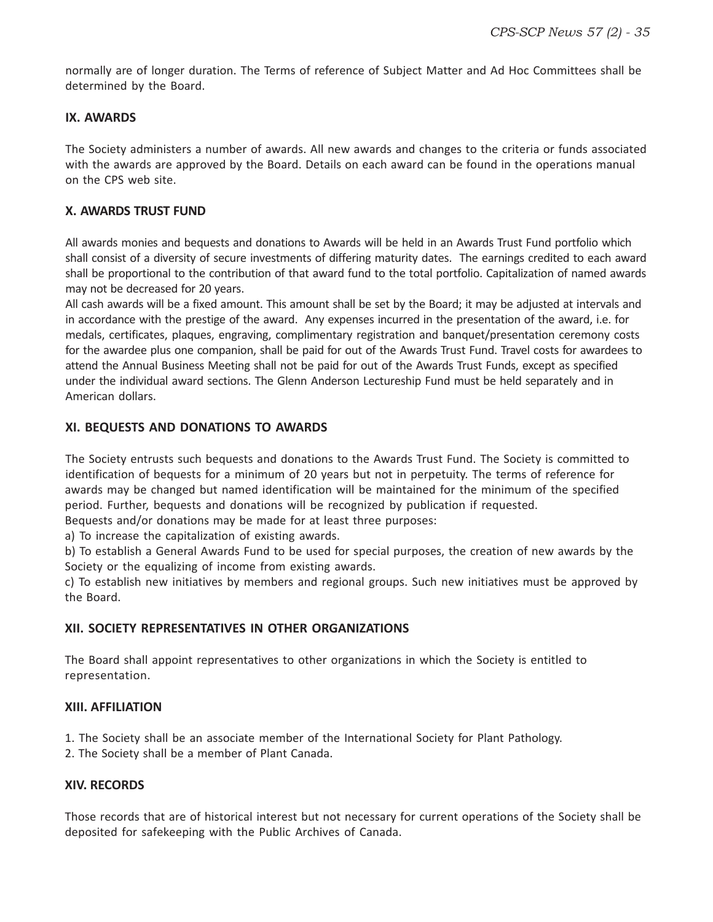normally are of longer duration. The Terms of reference of Subject Matter and Ad Hoc Committees shall be determined by the Board.

#### **IX. AWARDS**

The Society administers a number of awards. All new awards and changes to the criteria or funds associated with the awards are approved by the Board. Details on each award can be found in the operations manual on the CPS web site.

#### **X. AWARDS TRUST FUND**

All awards monies and bequests and donations to Awards will be held in an Awards Trust Fund portfolio which shall consist of a diversity of secure investments of differing maturity dates. The earnings credited to each award shall be proportional to the contribution of that award fund to the total portfolio. Capitalization of named awards may not be decreased for 20 years.

All cash awards will be a fixed amount. This amount shall be set by the Board; it may be adjusted at intervals and in accordance with the prestige of the award. Any expenses incurred in the presentation of the award, i.e. for medals, certificates, plaques, engraving, complimentary registration and banquet/presentation ceremony costs for the awardee plus one companion, shall be paid for out of the Awards Trust Fund. Travel costs for awardees to attend the Annual Business Meeting shall not be paid for out of the Awards Trust Funds, except as specified under the individual award sections. The Glenn Anderson Lectureship Fund must be held separately and in American dollars.

#### **XI. BEQUESTS AND DONATIONS TO AWARDS**

The Society entrusts such bequests and donations to the Awards Trust Fund. The Society is committed to identification of bequests for a minimum of 20 years but not in perpetuity. The terms of reference for awards may be changed but named identification will be maintained for the minimum of the specified period. Further, bequests and donations will be recognized by publication if requested.

Bequests and/or donations may be made for at least three purposes:

a) To increase the capitalization of existing awards.

b) To establish a General Awards Fund to be used for special purposes, the creation of new awards by the Society or the equalizing of income from existing awards.

c) To establish new initiatives by members and regional groups. Such new initiatives must be approved by the Board.

#### **XII. SOCIETY REPRESENTATIVES IN OTHER ORGANIZATIONS**

The Board shall appoint representatives to other organizations in which the Society is entitled to representation.

#### **XIII. AFFILIATION**

1. The Society shall be an associate member of the International Society for Plant Pathology.

2. The Society shall be a member of Plant Canada.

#### **XIV. RECORDS**

Those records that are of historical interest but not necessary for current operations of the Society shall be deposited for safekeeping with the Public Archives of Canada.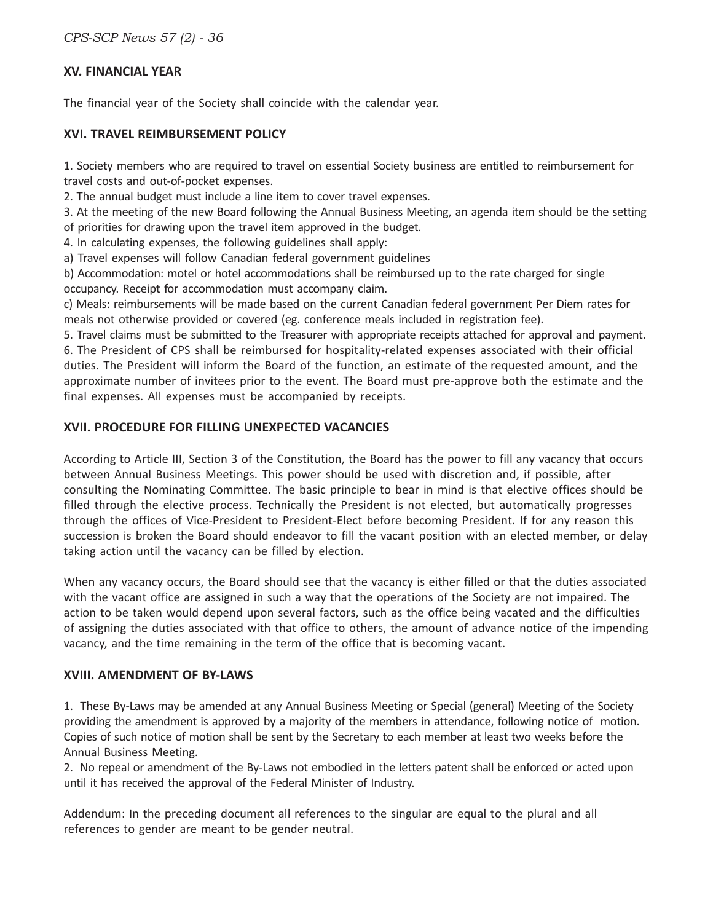*CPS-SCP News 57 (2) - 36*

#### **XV. FINANCIAL YEAR**

The financial year of the Society shall coincide with the calendar year.

#### **XVI. TRAVEL REIMBURSEMENT POLICY**

1. Society members who are required to travel on essential Society business are entitled to reimbursement for travel costs and out-of-pocket expenses.

2. The annual budget must include a line item to cover travel expenses.

3. At the meeting of the new Board following the Annual Business Meeting, an agenda item should be the setting of priorities for drawing upon the travel item approved in the budget.

4. In calculating expenses, the following guidelines shall apply:

a) Travel expenses will follow Canadian federal government guidelines

b) Accommodation: motel or hotel accommodations shall be reimbursed up to the rate charged for single occupancy. Receipt for accommodation must accompany claim.

c) Meals: reimbursements will be made based on the current Canadian federal government Per Diem rates for meals not otherwise provided or covered (eg. conference meals included in registration fee).

5. Travel claims must be submitted to the Treasurer with appropriate receipts attached for approval and payment. 6. The President of CPS shall be reimbursed for hospitality-related expenses associated with their official duties. The President will inform the Board of the function, an estimate of the requested amount, and the approximate number of invitees prior to the event. The Board must pre-approve both the estimate and the final expenses. All expenses must be accompanied by receipts.

#### **XVII. PROCEDURE FOR FILLING UNEXPECTED VACANCIES**

According to Article III, Section 3 of the Constitution, the Board has the power to fill any vacancy that occurs between Annual Business Meetings. This power should be used with discretion and, if possible, after consulting the Nominating Committee. The basic principle to bear in mind is that elective offices should be filled through the elective process. Technically the President is not elected, but automatically progresses through the offices of Vice-President to President-Elect before becoming President. If for any reason this succession is broken the Board should endeavor to fill the vacant position with an elected member, or delay taking action until the vacancy can be filled by election.

When any vacancy occurs, the Board should see that the vacancy is either filled or that the duties associated with the vacant office are assigned in such a way that the operations of the Society are not impaired. The action to be taken would depend upon several factors, such as the office being vacated and the difficulties of assigning the duties associated with that office to others, the amount of advance notice of the impending vacancy, and the time remaining in the term of the office that is becoming vacant.

#### **XVIII. AMENDMENT OF BY-LAWS**

1. These By-Laws may be amended at any Annual Business Meeting or Special (general) Meeting of the Society providing the amendment is approved by a majority of the members in attendance, following notice of motion. Copies of such notice of motion shall be sent by the Secretary to each member at least two weeks before the Annual Business Meeting.

2. No repeal or amendment of the By-Laws not embodied in the letters patent shall be enforced or acted upon until it has received the approval of the Federal Minister of Industry.

Addendum: In the preceding document all references to the singular are equal to the plural and all references to gender are meant to be gender neutral.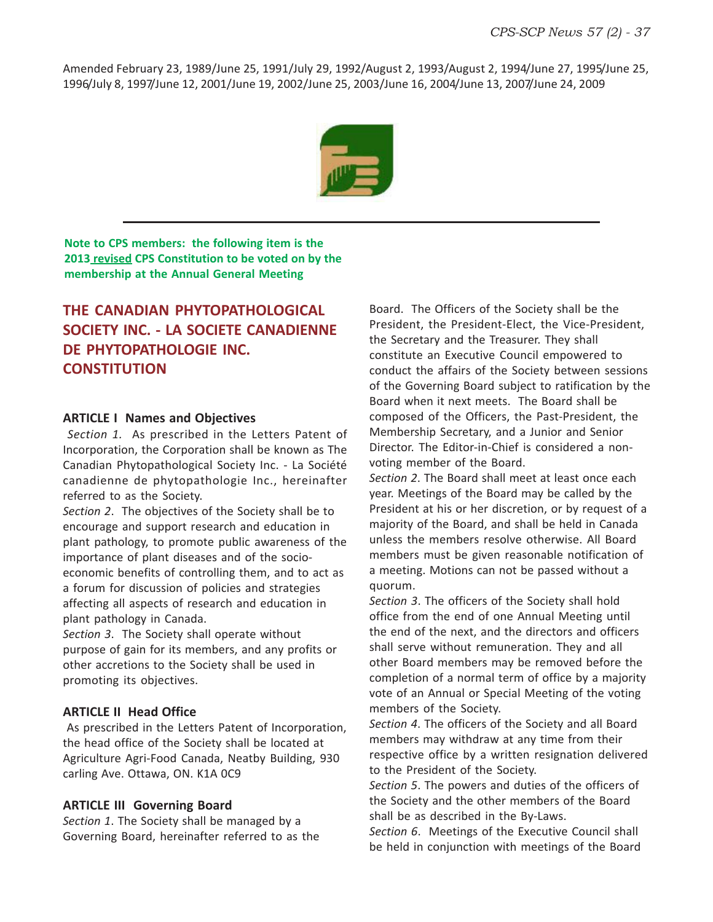Amended February 23, 1989/June 25, 1991/July 29, 1992/August 2, 1993/August 2, 1994/June 27, 1995/June 25, 1996/July 8, 1997/June 12, 2001/June 19, 2002/June 25, 2003/June 16, 2004/June 13, 2007/June 24, 2009



**Note to CPS members: the following item is the 2013 revised CPS Constitution to be voted on by the membership at the Annual General Meeting**

#### **THE CANADIAN PHYTOPATHOLOGICAL SOCIETY INC. - LA SOCIETE CANADIENNE DE PHYTOPATHOLOGIE INC. CONSTITUTION**

#### **ARTICLE I Names and Objectives**

*Section 1.* As prescribed in the Letters Patent of Incorporation, the Corporation shall be known as The Canadian Phytopathological Society Inc. - La Société canadienne de phytopathologie Inc., hereinafter referred to as the Society.

*Section 2*. The objectives of the Society shall be to encourage and support research and education in plant pathology, to promote public awareness of the importance of plant diseases and of the socioeconomic benefits of controlling them, and to act as a forum for discussion of policies and strategies affecting all aspects of research and education in plant pathology in Canada.

*Section 3*. The Society shall operate without purpose of gain for its members, and any profits or other accretions to the Society shall be used in promoting its objectives.

#### **ARTICLE II Head Office**

 As prescribed in the Letters Patent of Incorporation, the head office of the Society shall be located at Agriculture Agri-Food Canada, Neatby Building, 930 carling Ave. Ottawa, ON. K1A 0C9

#### **ARTICLE III Governing Board**

*Section 1*. The Society shall be managed by a Governing Board, hereinafter referred to as the

Board. The Officers of the Society shall be the President, the President-Elect, the Vice-President, the Secretary and the Treasurer. They shall constitute an Executive Council empowered to conduct the affairs of the Society between sessions of the Governing Board subject to ratification by the Board when it next meets. The Board shall be composed of the Officers, the Past-President, the Membership Secretary, and a Junior and Senior Director. The Editor-in-Chief is considered a nonvoting member of the Board.

*Section 2*. The Board shall meet at least once each year. Meetings of the Board may be called by the President at his or her discretion, or by request of a majority of the Board, and shall be held in Canada unless the members resolve otherwise. All Board members must be given reasonable notification of a meeting. Motions can not be passed without a quorum.

*Section 3*. The officers of the Society shall hold office from the end of one Annual Meeting until the end of the next, and the directors and officers shall serve without remuneration. They and all other Board members may be removed before the completion of a normal term of office by a majority vote of an Annual or Special Meeting of the voting members of the Society.

*Section 4*. The officers of the Society and all Board members may withdraw at any time from their respective office by a written resignation delivered to the President of the Society.

*Section 5*. The powers and duties of the officers of the Society and the other members of the Board shall be as described in the By-Laws.

*Section 6*. Meetings of the Executive Council shall be held in conjunction with meetings of the Board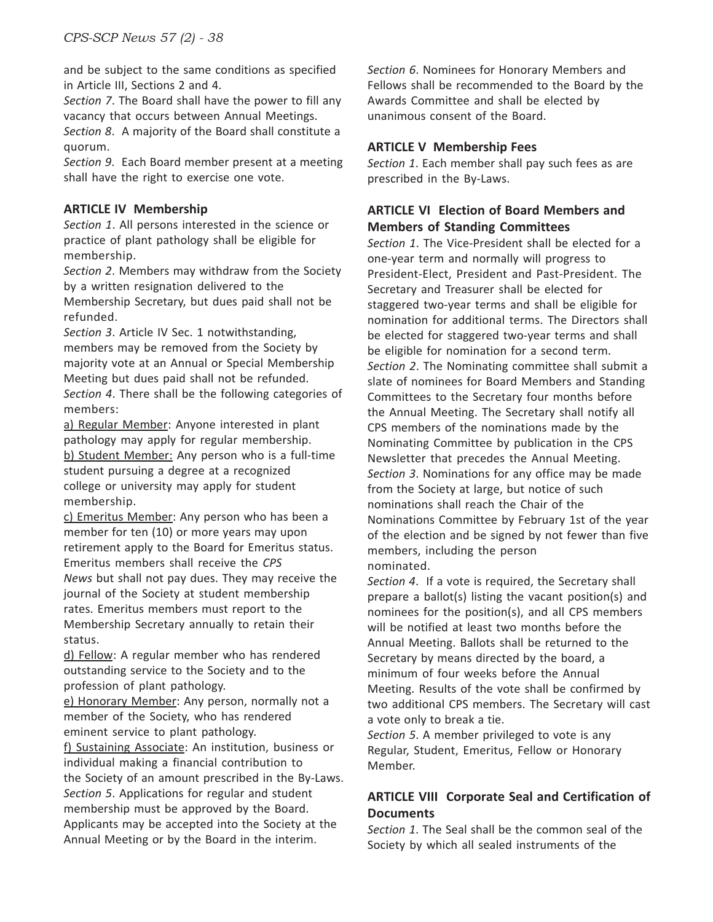and be subject to the same conditions as specified in Article III, Sections 2 and 4.

*Section 7*. The Board shall have the power to fill any vacancy that occurs between Annual Meetings.

*Section 8*. A majority of the Board shall constitute a quorum.

*Section 9*. Each Board member present at a meeting shall have the right to exercise one vote.

#### **ARTICLE IV Membership**

*Section 1*. All persons interested in the science or practice of plant pathology shall be eligible for membership.

*Section 2*. Members may withdraw from the Society by a written resignation delivered to the Membership Secretary, but dues paid shall not be

refunded. *Section 3*. Article IV Sec. 1 notwithstanding, members may be removed from the Society by majority vote at an Annual or Special Membership Meeting but dues paid shall not be refunded. *Section 4*. There shall be the following categories of members:

a) Regular Member: Anyone interested in plant pathology may apply for regular membership. b) Student Member: Any person who is a full-time student pursuing a degree at a recognized college or university may apply for student membership.

c) Emeritus Member: Any person who has been a member for ten (10) or more years may upon retirement apply to the Board for Emeritus status. Emeritus members shall receive the *CPS News* but shall not pay dues. They may receive the journal of the Society at student membership rates. Emeritus members must report to the Membership Secretary annually to retain their status.

d) Fellow: A regular member who has rendered outstanding service to the Society and to the profession of plant pathology.

e) Honorary Member: Any person, normally not a member of the Society, who has rendered eminent service to plant pathology.

f) Sustaining Associate: An institution, business or individual making a financial contribution to the Society of an amount prescribed in the By-Laws. *Section 5*. Applications for regular and student membership must be approved by the Board. Applicants may be accepted into the Society at the Annual Meeting or by the Board in the interim.

*Section 6*. Nominees for Honorary Members and Fellows shall be recommended to the Board by the Awards Committee and shall be elected by unanimous consent of the Board.

#### **ARTICLE V Membership Fees**

*Section 1*. Each member shall pay such fees as are prescribed in the By-Laws.

#### **ARTICLE VI Election of Board Members and Members of Standing Committees**

*Section 1*. The Vice-President shall be elected for a one-year term and normally will progress to President-Elect, President and Past-President. The Secretary and Treasurer shall be elected for staggered two-year terms and shall be eligible for nomination for additional terms. The Directors shall be elected for staggered two-year terms and shall be eligible for nomination for a second term. *Section 2*. The Nominating committee shall submit a slate of nominees for Board Members and Standing Committees to the Secretary four months before the Annual Meeting. The Secretary shall notify all CPS members of the nominations made by the Nominating Committee by publication in the CPS Newsletter that precedes the Annual Meeting. *Section 3*. Nominations for any office may be made from the Society at large, but notice of such nominations shall reach the Chair of the Nominations Committee by February 1st of the year of the election and be signed by not fewer than five members, including the person nominated.

*Section 4*. If a vote is required, the Secretary shall prepare a ballot(s) listing the vacant position(s) and nominees for the position(s), and all CPS members will be notified at least two months before the Annual Meeting. Ballots shall be returned to the Secretary by means directed by the board, a minimum of four weeks before the Annual Meeting. Results of the vote shall be confirmed by two additional CPS members. The Secretary will cast a vote only to break a tie.

*Section 5*. A member privileged to vote is any Regular, Student, Emeritus, Fellow or Honorary Member.

#### **ARTICLE VIII Corporate Seal and Certification of Documents**

*Section 1*. The Seal shall be the common seal of the Society by which all sealed instruments of the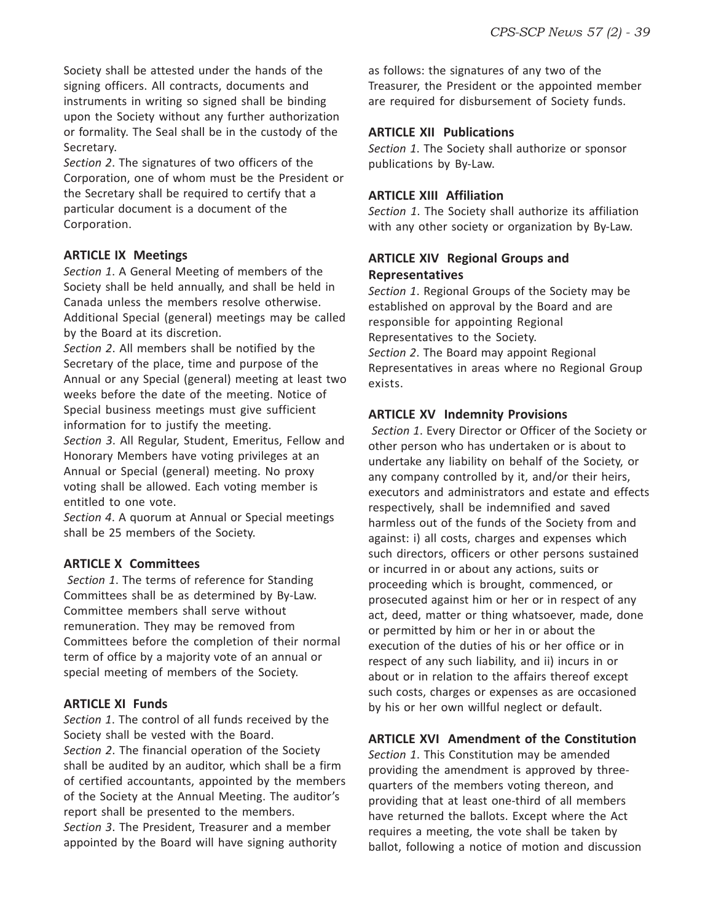Society shall be attested under the hands of the signing officers. All contracts, documents and instruments in writing so signed shall be binding upon the Society without any further authorization or formality. The Seal shall be in the custody of the Secretary.

*Section 2*. The signatures of two officers of the Corporation, one of whom must be the President or the Secretary shall be required to certify that a particular document is a document of the Corporation.

#### **ARTICLE IX Meetings**

*Section 1*. A General Meeting of members of the Society shall be held annually, and shall be held in Canada unless the members resolve otherwise. Additional Special (general) meetings may be called by the Board at its discretion.

*Section 2*. All members shall be notified by the Secretary of the place, time and purpose of the Annual or any Special (general) meeting at least two weeks before the date of the meeting. Notice of Special business meetings must give sufficient information for to justify the meeting. *Section 3*. All Regular, Student, Emeritus, Fellow and Honorary Members have voting privileges at an

Annual or Special (general) meeting. No proxy voting shall be allowed. Each voting member is entitled to one vote.

*Section 4*. A quorum at Annual or Special meetings shall be 25 members of the Society.

#### **ARTICLE X Committees**

*Section 1*. The terms of reference for Standing Committees shall be as determined by By-Law. Committee members shall serve without remuneration. They may be removed from Committees before the completion of their normal term of office by a majority vote of an annual or special meeting of members of the Society.

#### **ARTICLE XI Funds**

*Section 1*. The control of all funds received by the Society shall be vested with the Board. *Section 2*. The financial operation of the Society shall be audited by an auditor, which shall be a firm of certified accountants, appointed by the members of the Society at the Annual Meeting. The auditor's report shall be presented to the members. *Section 3*. The President, Treasurer and a member appointed by the Board will have signing authority

as follows: the signatures of any two of the Treasurer, the President or the appointed member are required for disbursement of Society funds.

#### **ARTICLE XII Publications**

*Section 1*. The Society shall authorize or sponsor publications by By-Law.

#### **ARTICLE XIII Affiliation**

*Section 1*. The Society shall authorize its affiliation with any other society or organization by By-Law.

#### **ARTICLE XIV Regional Groups and Representatives**

*Section 1*. Regional Groups of the Society may be established on approval by the Board and are responsible for appointing Regional Representatives to the Society. *Section 2*. The Board may appoint Regional Representatives in areas where no Regional Group exists.

#### **ARTICLE XV Indemnity Provisions**

*Section 1*. Every Director or Officer of the Society or other person who has undertaken or is about to undertake any liability on behalf of the Society, or any company controlled by it, and/or their heirs, executors and administrators and estate and effects respectively, shall be indemnified and saved harmless out of the funds of the Society from and against: i) all costs, charges and expenses which such directors, officers or other persons sustained or incurred in or about any actions, suits or proceeding which is brought, commenced, or prosecuted against him or her or in respect of any act, deed, matter or thing whatsoever, made, done or permitted by him or her in or about the execution of the duties of his or her office or in respect of any such liability, and ii) incurs in or about or in relation to the affairs thereof except such costs, charges or expenses as are occasioned by his or her own willful neglect or default.

#### **ARTICLE XVI Amendment of the Constitution**

*Section 1*. This Constitution may be amended providing the amendment is approved by threequarters of the members voting thereon, and providing that at least one-third of all members have returned the ballots. Except where the Act requires a meeting, the vote shall be taken by ballot, following a notice of motion and discussion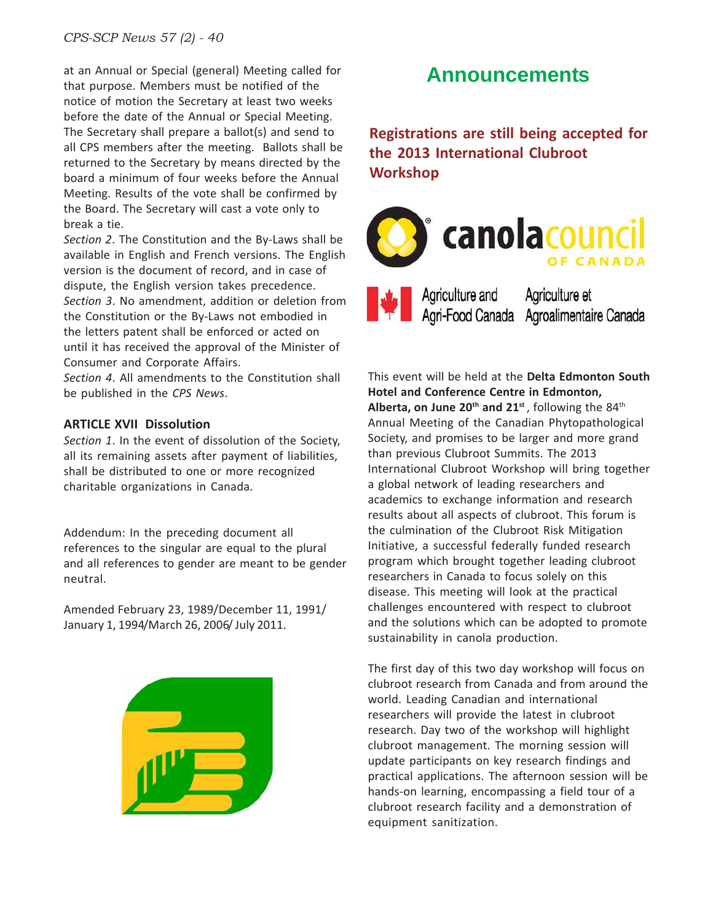*CPS-SCP News 57 (2) - 40*

at an Annual or Special (general) Meeting called for that purpose. Members must be notified of the notice of motion the Secretary at least two weeks before the date of the Annual or Special Meeting. The Secretary shall prepare a ballot(s) and send to all CPS members after the meeting. Ballots shall be returned to the Secretary by means directed by the board a minimum of four weeks before the Annual Meeting. Results of the vote shall be confirmed by the Board. The Secretary will cast a vote only to break a tie.

*Section 2*. The Constitution and the By-Laws shall be available in English and French versions. The English version is the document of record, and in case of dispute, the English version takes precedence. *Section 3*. No amendment, addition or deletion from the Constitution or the By-Laws not embodied in the letters patent shall be enforced or acted on until it has received the approval of the Minister of Consumer and Corporate Affairs.

*Section 4*. All amendments to the Constitution shall be published in the *CPS News*.

#### **ARTICLE XVII Dissolution**

*Section 1*. In the event of dissolution of the Society, all its remaining assets after payment of liabilities, shall be distributed to one or more recognized charitable organizations in Canada.

Addendum: In the preceding document all references to the singular are equal to the plural and all references to gender are meant to be gender neutral.

Amended February 23, 1989/December 11, 1991/ January 1, 1994/March 26, 2006/ July 2011.



## **Announcements**

**Registrations are still being accepted for the 2013 International Clubroot Workshop**



This event will be held at the **Delta Edmonton South Hotel and Conference Centre in Edmonton,** Alberta, on June 20<sup>th</sup> and 21<sup>st</sup>, following the 84<sup>th</sup> Annual Meeting of the Canadian Phytopathological Society, and promises to be larger and more grand than previous Clubroot Summits. The 2013 International Clubroot Workshop will bring together a global network of leading researchers and academics to exchange information and research results about all aspects of clubroot. This forum is the culmination of the Clubroot Risk Mitigation Initiative, a successful federally funded research program which brought together leading clubroot researchers in Canada to focus solely on this disease. This meeting will look at the practical challenges encountered with respect to clubroot and the solutions which can be adopted to promote sustainability in canola production.

The first day of this two day workshop will focus on clubroot research from Canada and from around the world. Leading Canadian and international researchers will provide the latest in clubroot research. Day two of the workshop will highlight clubroot management. The morning session will update participants on key research findings and practical applications. The afternoon session will be hands-on learning, encompassing a field tour of a clubroot research facility and a demonstration of equipment sanitization.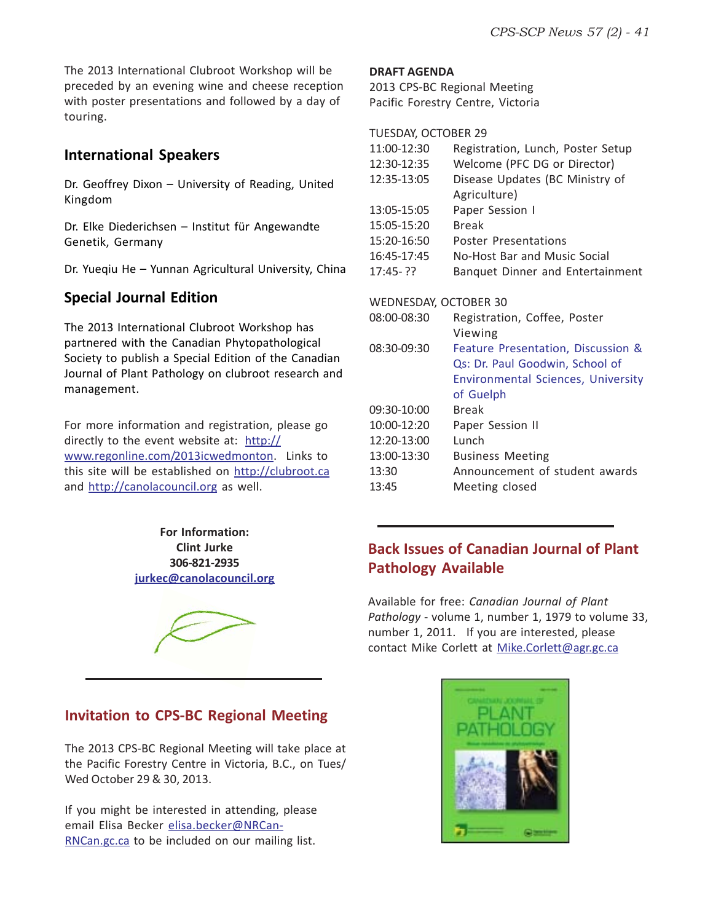The 2013 International Clubroot Workshop will be preceded by an evening wine and cheese reception with poster presentations and followed by a day of touring.

#### **International Speakers**

Dr. Geoffrey Dixon – University of Reading, United Kingdom

Dr. Elke Diederichsen – Institut für Angewandte Genetik, Germany

Dr. Yueqiu He – Yunnan Agricultural University, China

#### **Special Journal Edition**

The 2013 International Clubroot Workshop has partnered with the Canadian Phytopathological Society to publish a Special Edition of the Canadian Journal of Plant Pathology on clubroot research and management.

For more information and registration, please go directly to the event website at: http:// www.regonline.com/2013icwedmonton. Links to this site will be established on http://clubroot.ca and http://canolacouncil.org as well.

> **For Information: Clint Jurke 306-821-2935 jurkec@canolacouncil.org**



#### **DRAFT AGENDA**

2013 CPS-BC Regional Meeting Pacific Forestry Centre, Victoria

TUESDAY, OCTOBER 29

| 11:00-12:30           | Registration, Lunch, Poster Setup         |
|-----------------------|-------------------------------------------|
| 12:30-12:35           | Welcome (PFC DG or Director)              |
| 12:35-13:05           | Disease Updates (BC Ministry of           |
|                       | Agriculture)                              |
| 13:05-15:05           | Paper Session I                           |
| 15:05-15:20           | <b>Break</b>                              |
| 15:20-16:50           | Poster Presentations                      |
| 16:45-17:45           | No-Host Bar and Music Social              |
| $17:45 - ??$          | Banquet Dinner and Entertainment          |
|                       |                                           |
| WEDNESDAY, OCTOBER 30 |                                           |
| 08:00-08:30           | Registration, Coffee, Poster              |
|                       | Viewing                                   |
| 08:30-09:30           | Feature Presentation, Discussion &        |
|                       | Qs: Dr. Paul Goodwin, School of           |
|                       | <b>Environmental Sciences, University</b> |
|                       | of Guelph                                 |
| 09:30-10:00           | <b>Break</b>                              |
| 10:00-12:20           | Paper Session II                          |
| 12:20-13:00           | Lunch                                     |
| 13:00-13:30           | <b>Business Meeting</b>                   |
| 13:30                 | Announcement of student awards            |
| 13:45                 | Meeting closed                            |

#### **Back Issues of Canadian Journal of Plant Pathology Available**

Available for free: *Canadian Journal of Plant Pathology* - volume 1, number 1, 1979 to volume 33, number 1, 2011. If you are interested, please contact Mike Corlett at Mike.Corlett@agr.gc.ca

#### **Invitation to CPS-BC Regional Meeting**

The 2013 CPS-BC Regional Meeting will take place at the Pacific Forestry Centre in Victoria, B.C., on Tues/ Wed October 29 & 30, 2013.

If you might be interested in attending, please email Elisa Becker elisa.becker@NRCan-RNCan.gc.ca to be included on our mailing list.

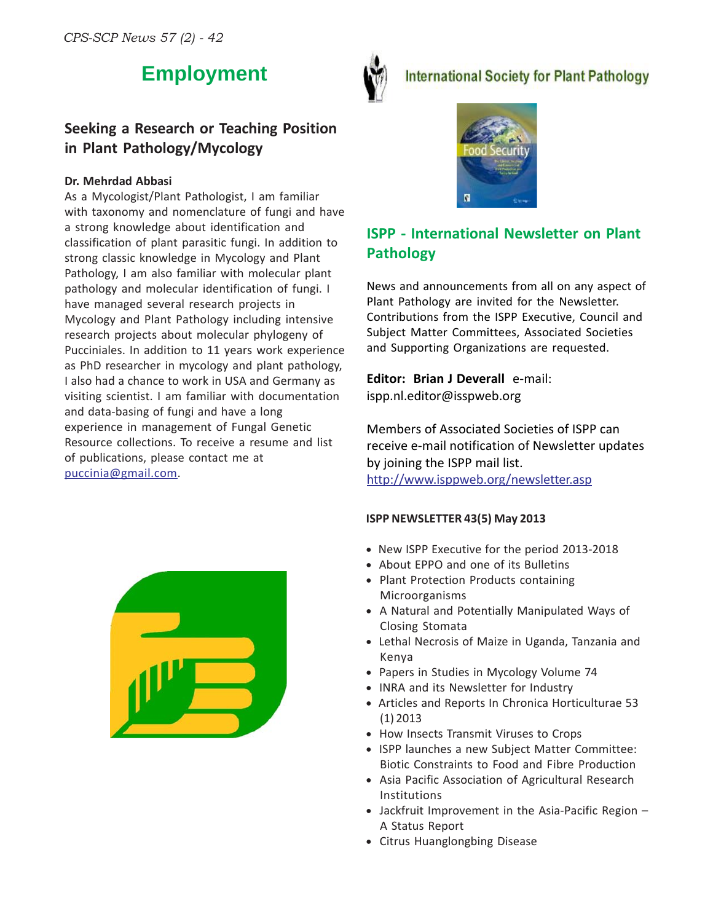## **Employment**



#### **International Society for Plant Pathology**

#### **Seeking a Research or Teaching Position in Plant Pathology/Mycology**

#### **Dr. Mehrdad Abbasi**

As a Mycologist/Plant Pathologist, I am familiar with taxonomy and nomenclature of fungi and have a strong knowledge about identification and classification of plant parasitic fungi. In addition to strong classic knowledge in Mycology and Plant Pathology, I am also familiar with molecular plant pathology and molecular identification of fungi. I have managed several research projects in Mycology and Plant Pathology including intensive research projects about molecular phylogeny of Pucciniales. In addition to 11 years work experience as PhD researcher in mycology and plant pathology, I also had a chance to work in USA and Germany as visiting scientist. I am familiar with documentation and data-basing of fungi and have a long experience in management of Fungal Genetic Resource collections. To receive a resume and list of publications, please contact me at puccinia@gmail.com.



### **ISPP - International Newsletter on Plant Pathology**

News and announcements from all on any aspect of Plant Pathology are invited for the Newsletter. Contributions from the ISPP Executive, Council and Subject Matter Committees, Associated Societies and Supporting Organizations are requested.

**Editor: Brian J Deverall** e-mail: ispp.nl.editor@isspweb.org

Members of Associated Societies of ISPP can receive e-mail notification of Newsletter updates by joining the ISPP mail list.

http://www.isppweb.org/newsletter.asp

#### **ISPP NEWSLETTER 43(5) May 2013**

- New ISPP Executive for the period 2013-2018
- About EPPO and one of its Bulletins
- Plant Protection Products containing Microorganisms
- A Natural and Potentially Manipulated Ways of Closing Stomata
- Lethal Necrosis of Maize in Uganda, Tanzania and Kenya
- Papers in Studies in Mycology Volume 74
- INRA and its Newsletter for Industry
- Articles and Reports In Chronica Horticulturae 53 (1) 2013
- How Insects Transmit Viruses to Crops
- ISPP launches a new Subject Matter Committee: Biotic Constraints to Food and Fibre Production
- Asia Pacific Association of Agricultural Research Institutions
- Jackfruit Improvement in the Asia-Pacific Region A Status Report
- Citrus Huanglongbing Disease